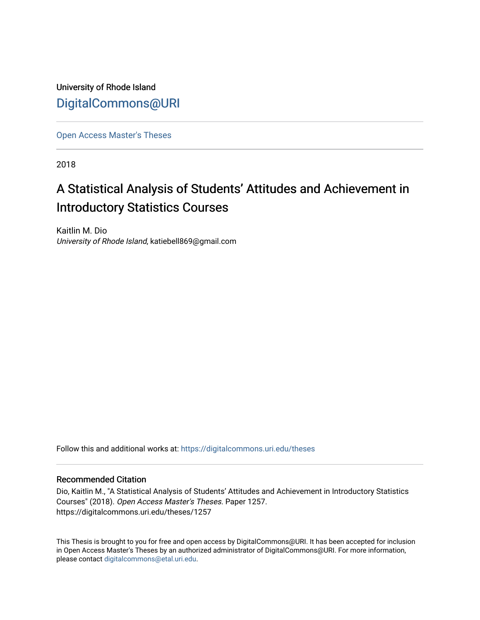University of Rhode Island [DigitalCommons@URI](https://digitalcommons.uri.edu/) 

[Open Access Master's Theses](https://digitalcommons.uri.edu/theses) 

2018

# A Statistical Analysis of Students' Attitudes and Achievement in Introductory Statistics Courses

Kaitlin M. Dio University of Rhode Island, katiebell869@gmail.com

Follow this and additional works at: [https://digitalcommons.uri.edu/theses](https://digitalcommons.uri.edu/theses?utm_source=digitalcommons.uri.edu%2Ftheses%2F1257&utm_medium=PDF&utm_campaign=PDFCoverPages)

#### Recommended Citation

Dio, Kaitlin M., "A Statistical Analysis of Students' Attitudes and Achievement in Introductory Statistics Courses" (2018). Open Access Master's Theses. Paper 1257. https://digitalcommons.uri.edu/theses/1257

This Thesis is brought to you for free and open access by DigitalCommons@URI. It has been accepted for inclusion in Open Access Master's Theses by an authorized administrator of DigitalCommons@URI. For more information, please contact [digitalcommons@etal.uri.edu.](mailto:digitalcommons@etal.uri.edu)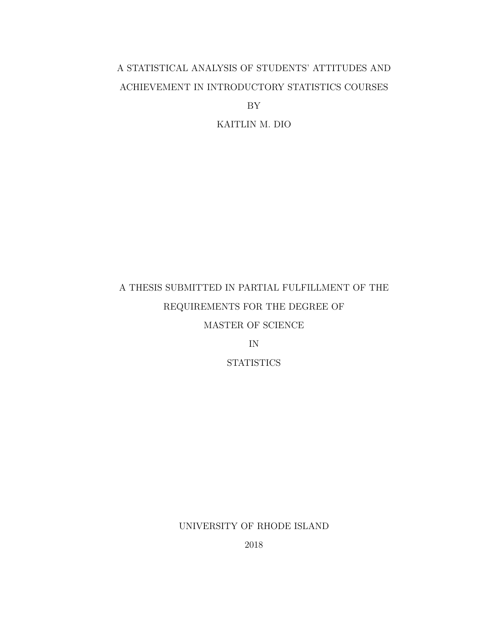# A STATISTICAL ANALYSIS OF STUDENTS' ATTITUDES AND ACHIEVEMENT IN INTRODUCTORY STATISTICS COURSES

BY

KAITLIN M. DIO

# A THESIS SUBMITTED IN PARTIAL FULFILLMENT OF THE REQUIREMENTS FOR THE DEGREE OF MASTER OF SCIENCE

IN

**STATISTICS** 

UNIVERSITY OF RHODE ISLAND

2018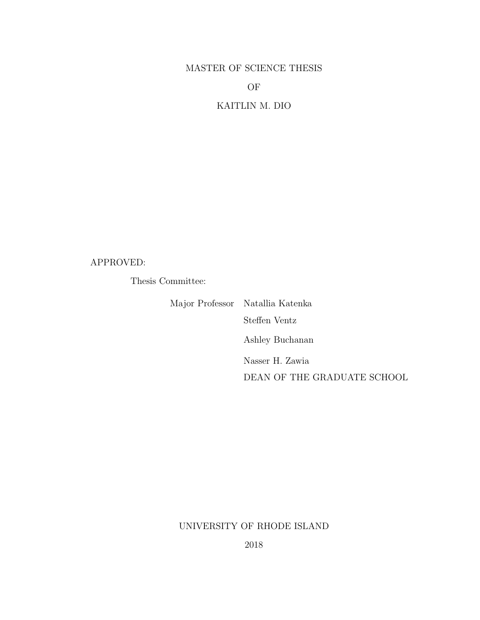# MASTER OF SCIENCE THESIS

#### OF

## KAITLIN M. DIO

#### APPROVED:

Thesis Committee:

Major Professor Natallia Katenka Steffen Ventz Ashley Buchanan Nasser H. Zawia DEAN OF THE GRADUATE SCHOOL

### UNIVERSITY OF RHODE ISLAND

2018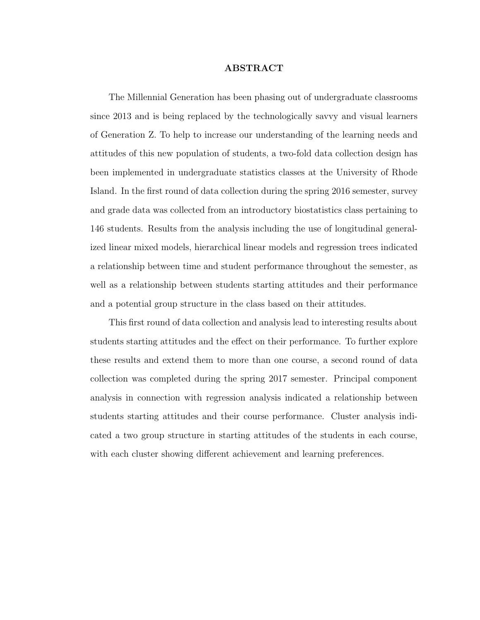#### ABSTRACT

<span id="page-3-0"></span>The Millennial Generation has been phasing out of undergraduate classrooms since 2013 and is being replaced by the technologically savvy and visual learners of Generation Z. To help to increase our understanding of the learning needs and attitudes of this new population of students, a two-fold data collection design has been implemented in undergraduate statistics classes at the University of Rhode Island. In the first round of data collection during the spring 2016 semester, survey and grade data was collected from an introductory biostatistics class pertaining to 146 students. Results from the analysis including the use of longitudinal generalized linear mixed models, hierarchical linear models and regression trees indicated a relationship between time and student performance throughout the semester, as well as a relationship between students starting attitudes and their performance and a potential group structure in the class based on their attitudes.

This first round of data collection and analysis lead to interesting results about students starting attitudes and the effect on their performance. To further explore these results and extend them to more than one course, a second round of data collection was completed during the spring 2017 semester. Principal component analysis in connection with regression analysis indicated a relationship between students starting attitudes and their course performance. Cluster analysis indicated a two group structure in starting attitudes of the students in each course, with each cluster showing different achievement and learning preferences.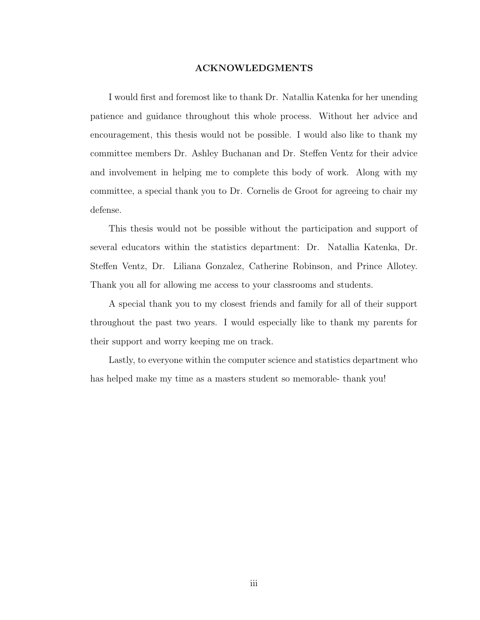#### ACKNOWLEDGMENTS

<span id="page-4-0"></span>I would first and foremost like to thank Dr. Natallia Katenka for her unending patience and guidance throughout this whole process. Without her advice and encouragement, this thesis would not be possible. I would also like to thank my committee members Dr. Ashley Buchanan and Dr. Steffen Ventz for their advice and involvement in helping me to complete this body of work. Along with my committee, a special thank you to Dr. Cornelis de Groot for agreeing to chair my defense.

This thesis would not be possible without the participation and support of several educators within the statistics department: Dr. Natallia Katenka, Dr. Steffen Ventz, Dr. Liliana Gonzalez, Catherine Robinson, and Prince Allotey. Thank you all for allowing me access to your classrooms and students.

A special thank you to my closest friends and family for all of their support throughout the past two years. I would especially like to thank my parents for their support and worry keeping me on track.

Lastly, to everyone within the computer science and statistics department who has helped make my time as a masters student so memorable- thank you!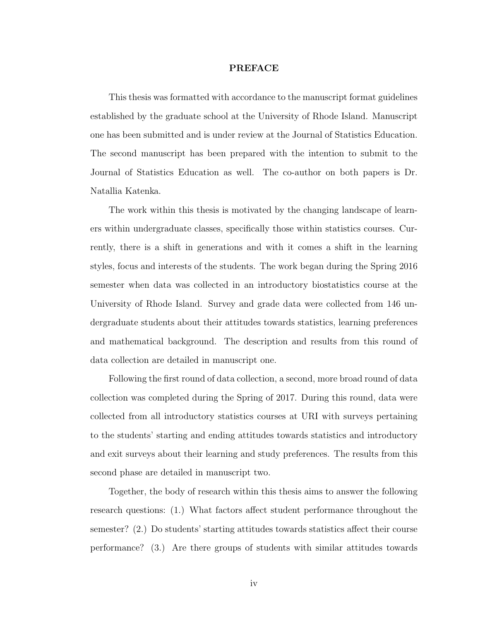#### PREFACE

<span id="page-5-0"></span>This thesis was formatted with accordance to the manuscript format guidelines established by the graduate school at the University of Rhode Island. Manuscript one has been submitted and is under review at the Journal of Statistics Education. The second manuscript has been prepared with the intention to submit to the Journal of Statistics Education as well. The co-author on both papers is Dr. Natallia Katenka.

The work within this thesis is motivated by the changing landscape of learners within undergraduate classes, specifically those within statistics courses. Currently, there is a shift in generations and with it comes a shift in the learning styles, focus and interests of the students. The work began during the Spring 2016 semester when data was collected in an introductory biostatistics course at the University of Rhode Island. Survey and grade data were collected from 146 undergraduate students about their attitudes towards statistics, learning preferences and mathematical background. The description and results from this round of data collection are detailed in manuscript one.

Following the first round of data collection, a second, more broad round of data collection was completed during the Spring of 2017. During this round, data were collected from all introductory statistics courses at URI with surveys pertaining to the students' starting and ending attitudes towards statistics and introductory and exit surveys about their learning and study preferences. The results from this second phase are detailed in manuscript two.

Together, the body of research within this thesis aims to answer the following research questions: (1.) What factors affect student performance throughout the semester? (2.) Do students' starting attitudes towards statistics affect their course performance? (3.) Are there groups of students with similar attitudes towards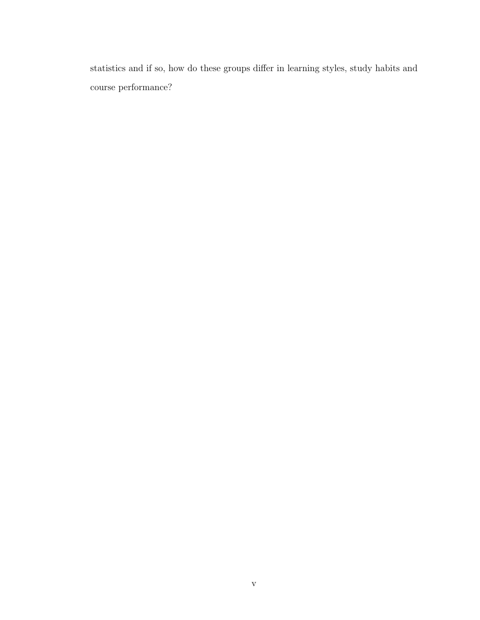statistics and if so, how do these groups differ in learning styles, study habits and course performance?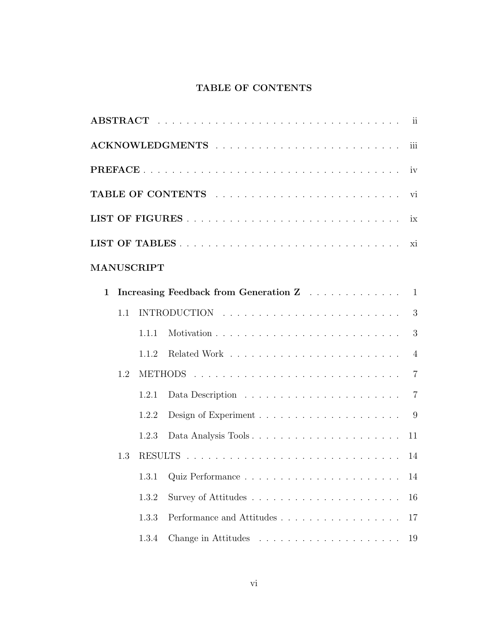# TABLE OF CONTENTS

<span id="page-7-0"></span>

|   |     |            |                                       | iii            |
|---|-----|------------|---------------------------------------|----------------|
|   |     |            |                                       |                |
|   |     |            |                                       | vi             |
|   |     |            |                                       |                |
|   |     |            |                                       |                |
|   |     | MANUSCRIPT |                                       |                |
| 1 |     |            | Increasing Feedback from Generation Z | $\mathbf{1}$   |
|   | 1.1 |            |                                       | 3              |
|   |     | 1.1.1      |                                       | 3              |
|   |     | 1.1.2      |                                       | $\overline{4}$ |
|   | 1.2 |            |                                       | $\overline{7}$ |
|   |     | 1.2.1      |                                       | $\overline{7}$ |
|   |     | 1.2.2      |                                       | 9              |
|   |     | 1.2.3      | Data Analysis Tools                   | 11             |
|   | 1.3 |            |                                       |                |
|   |     | 1.3.1      |                                       | 14             |
|   |     | 1.3.2      |                                       | 16             |
|   |     | 1.3.3      | Performance and Attitudes             | 17             |
|   |     | 1.3.4      |                                       | 19             |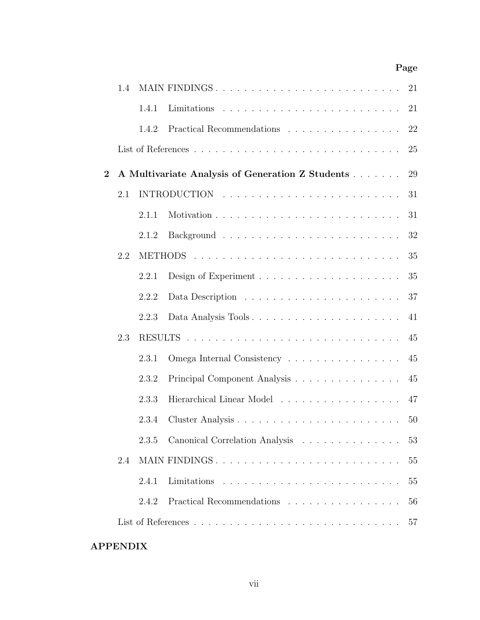## Page

|                | 1.4 |       | MAIN FINDINGS                                    | 21 |
|----------------|-----|-------|--------------------------------------------------|----|
|                |     | 1.4.1 |                                                  | 21 |
|                |     | 1.4.2 | Practical Recommendations                        | 22 |
|                |     |       |                                                  | 25 |
| $\overline{2}$ |     |       | A Multivariate Analysis of Generation Z Students | 29 |
|                | 2.1 |       |                                                  | 31 |
|                |     | 2.1.1 |                                                  | 31 |
|                |     | 2.1.2 |                                                  | 32 |
|                | 2.2 |       |                                                  | 35 |
|                |     | 2.2.1 |                                                  | 35 |
|                |     | 2.2.2 |                                                  | 37 |
|                |     | 2.2.3 | Data Analysis Tools                              | 41 |
|                | 2.3 |       |                                                  | 45 |
|                |     | 2.3.1 | Omega Internal Consistency                       | 45 |
|                |     | 2.3.2 | Principal Component Analysis                     | 45 |
|                |     | 2.3.3 | Hierarchical Linear Model                        | 47 |
|                |     | 2.3.4 |                                                  | 50 |
|                |     | 2.3.5 | Canonical Correlation Analysis                   | 53 |
|                | 2.4 |       | MAIN FINDINGS                                    | 55 |
|                |     | 2.4.1 |                                                  | 55 |
|                |     | 2.4.2 | Practical Recommendations                        | 56 |
|                |     |       |                                                  | 57 |
|                |     |       |                                                  |    |

# APPENDIX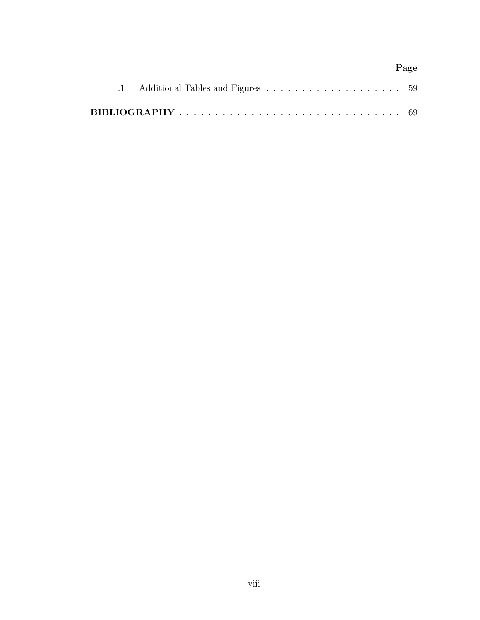# Page [.1 Additional Tables and Figures](#page-72-0) . . . . . . . . . . . . . . . . . . . 59 [BIBLIOGRAPHY](#page-82-0) . . . . . . . . . . . . . . . . . . . . . . . . . . . . . . . 69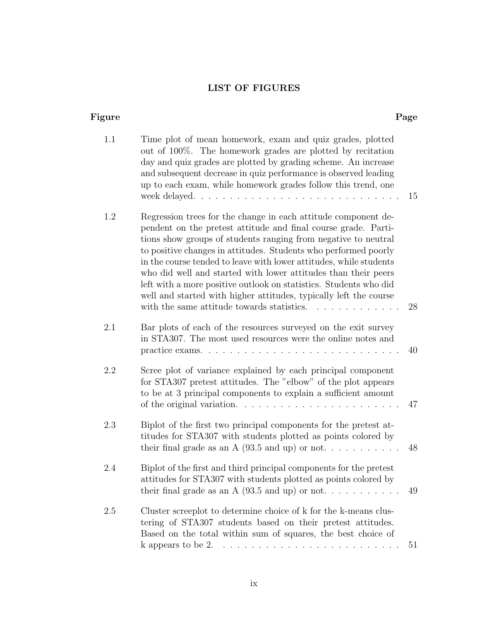# LIST OF FIGURES

<span id="page-10-0"></span>

| Figure  |                                                                                                                                                                                                                                                                                                                                                                                                                                                                                                                                                                                                                   | Page |
|---------|-------------------------------------------------------------------------------------------------------------------------------------------------------------------------------------------------------------------------------------------------------------------------------------------------------------------------------------------------------------------------------------------------------------------------------------------------------------------------------------------------------------------------------------------------------------------------------------------------------------------|------|
| 1.1     | Time plot of mean homework, exam and quiz grades, plotted<br>out of 100%. The homework grades are plotted by recitation<br>day and quiz grades are plotted by grading scheme. An increase<br>and subsequent decrease in quiz performance is observed leading<br>up to each exam, while homework grades follow this trend, one<br>week delayed                                                                                                                                                                                                                                                                     | 15   |
| 1.2     | Regression trees for the change in each attitude component de-<br>pendent on the pretest attitude and final course grade. Parti-<br>tions show groups of students ranging from negative to neutral<br>to positive changes in attitudes. Students who performed poorly<br>in the course tended to leave with lower attitudes, while students<br>who did well and started with lower attitudes than their peers<br>left with a more positive outlook on statistics. Students who did<br>well and started with higher attitudes, typically left the course<br>with the same attitude towards statistics.<br><u>.</u> | 28   |
| 2.1     | Bar plots of each of the resources surveyed on the exit survey<br>in STA307. The most used resources were the online notes and                                                                                                                                                                                                                                                                                                                                                                                                                                                                                    | 40   |
| 2.2     | Scree plot of variance explained by each principal component<br>for STA307 pretest attitudes. The "elbow" of the plot appears<br>to be at 3 principal components to explain a sufficient amount                                                                                                                                                                                                                                                                                                                                                                                                                   | 47   |
| 2.3     | Biplot of the first two principal components for the pretest at-<br>titudes for STA307 with students plotted as points colored by<br>their final grade as an A $(93.5 \text{ and up})$ or not                                                                                                                                                                                                                                                                                                                                                                                                                     | 48   |
| 2.4     | Biplot of the first and third principal components for the pretest<br>attitudes for STA307 with students plotted as points colored by<br>their final grade as an A $(93.5 \text{ and up})$ or not                                                                                                                                                                                                                                                                                                                                                                                                                 | 49   |
| $2.5\,$ | Cluster screeplot to determine choice of k for the k-means clus-<br>tering of STA307 students based on their pretest attitudes.<br>Based on the total within sum of squares, the best choice of<br>k appears to be $2. \ldots \ldots \ldots \ldots \ldots \ldots \ldots \ldots \ldots$                                                                                                                                                                                                                                                                                                                            | 51   |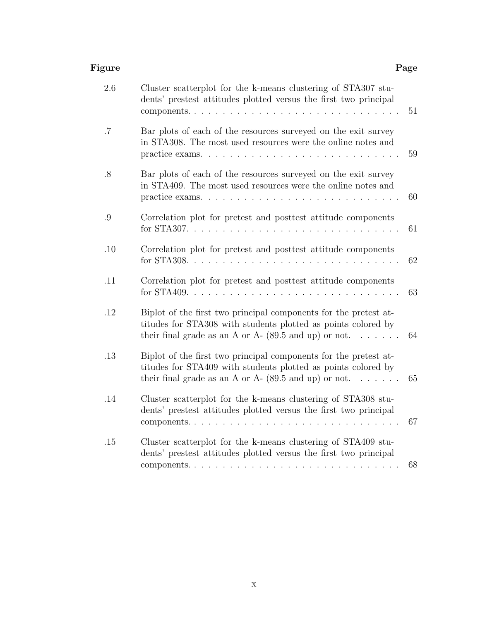#### Figure Page Page 2014 Page 2014 Page 2014 Page 2014 Page 2014 Page 2014 Page 2014

| 2.6    | Cluster scatterplot for the k-means clustering of STA307 stu-<br>dents' prestest attitudes plotted versus the first two principal<br>components. $\ldots$<br>$\ldots$                                          | 51 |
|--------|----------------------------------------------------------------------------------------------------------------------------------------------------------------------------------------------------------------|----|
| .7     | Bar plots of each of the resources surveyed on the exit survey<br>in STA308. The most used resources were the online notes and<br>practice exams. $\ldots$                                                     | 59 |
| $.8\,$ | Bar plots of each of the resources surveyed on the exit survey<br>in STA409. The most used resources were the online notes and<br>practice exams                                                               | 60 |
| .9     | Correlation plot for pretest and posttest attitude components                                                                                                                                                  | 61 |
| .10    | Correlation plot for pretest and posttest attitude components                                                                                                                                                  | 62 |
| .11    | Correlation plot for pretest and posttest attitude components<br>for $STA409$                                                                                                                                  | 63 |
| .12    | Biplot of the first two principal components for the pretest at-<br>titudes for STA308 with students plotted as points colored by<br>their final grade as an A or A- $(89.5 \text{ and up})$ or not            | 64 |
| .13    | Biplot of the first two principal components for the pretest at-<br>titudes for STA409 with students plotted as points colored by<br>their final grade as an A or A- $(89.5 \text{ and up})$ or not.<br>$\sim$ | 65 |
| .14    | Cluster scatterplot for the k-means clustering of STA308 stu-<br>dents' prestest attitudes plotted versus the first two principal<br>components<br><u>and a straight and a straight and</u>                    | 67 |
| .15    | Cluster scatterplot for the k-means clustering of STA409 stu-<br>dents' prestest attitudes plotted versus the first two principal                                                                              | 68 |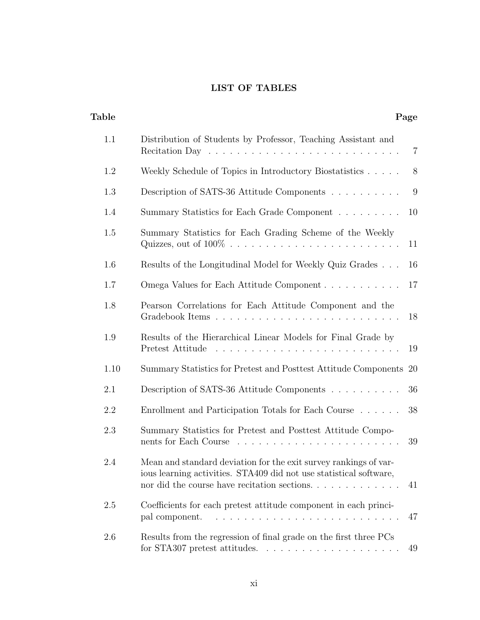# LIST OF TABLES

<span id="page-12-0"></span>

| Table |                                                                                                                                                                                       | Page           |
|-------|---------------------------------------------------------------------------------------------------------------------------------------------------------------------------------------|----------------|
| 1.1   | Distribution of Students by Professor, Teaching Assistant and<br>Recitation Day $\ldots \ldots \ldots \ldots \ldots \ldots \ldots \ldots \ldots \ldots$                               | $\overline{7}$ |
| 1.2   | Weekly Schedule of Topics in Introductory Biostatistics                                                                                                                               | 8              |
| 1.3   | Description of SATS-36 Attitude Components                                                                                                                                            | 9              |
| 1.4   | Summary Statistics for Each Grade Component                                                                                                                                           | 10             |
| 1.5   | Summary Statistics for Each Grading Scheme of the Weekly                                                                                                                              | 11             |
| 1.6   | Results of the Longitudinal Model for Weekly Quiz Grades                                                                                                                              | 16             |
| 1.7   | Omega Values for Each Attitude Component                                                                                                                                              | 17             |
| 1.8   | Pearson Correlations for Each Attitude Component and the                                                                                                                              | 18             |
| 1.9   | Results of the Hierarchical Linear Models for Final Grade by<br>Pretest Attitude                                                                                                      | 19             |
| 1.10  | Summary Statistics for Pretest and Posttest Attitude Components                                                                                                                       | -20            |
| 2.1   | Description of SATS-36 Attitude Components                                                                                                                                            | 36             |
| 2.2   | Enrollment and Participation Totals for Each Course                                                                                                                                   | 38             |
| 2.3   | Summary Statistics for Pretest and Posttest Attitude Compo-<br>nents for Each Course                                                                                                  | 39             |
| 2.4   | Mean and standard deviation for the exit survey rankings of var-<br>ious learning activities. STA409 did not use statistical software,<br>nor did the course have recitation sections | 41             |
| 2.5   | Coefficients for each pretest attitude component in each princi-<br>pal component.                                                                                                    | 47             |
| 2.6   | Results from the regression of final grade on the first three PCs<br>for STA307 pretest attitudes. $\ldots \ldots \ldots \ldots \ldots \ldots$                                        | 49             |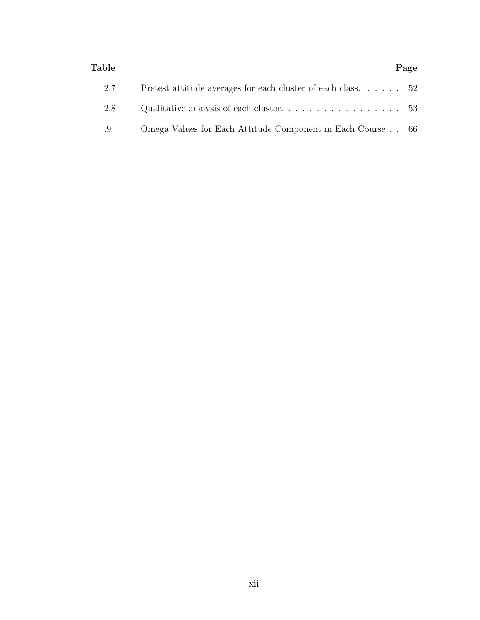#### Table **Page**

|--|--|

| 2.7 | Pretest attitude averages for each cluster of each class $52$ |  |
|-----|---------------------------------------------------------------|--|
| 2.8 | Qualitative analysis of each cluster. $\ldots$ 53             |  |
| .9  | Omega Values for Each Attitude Component in Each Course 66    |  |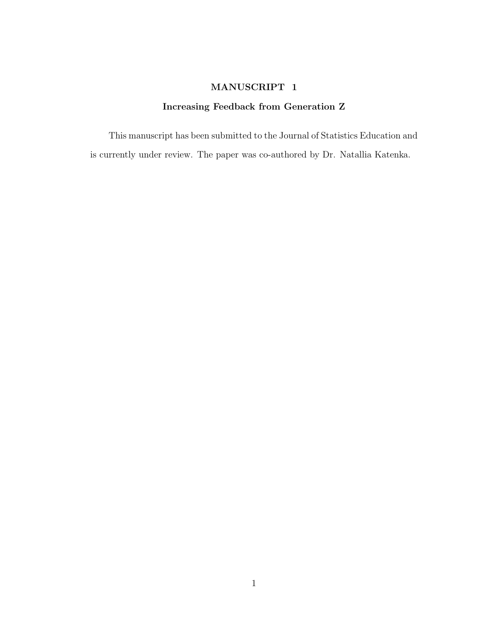### MANUSCRIPT 1

### Increasing Feedback from Generation Z

<span id="page-14-0"></span>This manuscript has been submitted to the Journal of Statistics Education and is currently under review. The paper was co-authored by Dr. Natallia Katenka.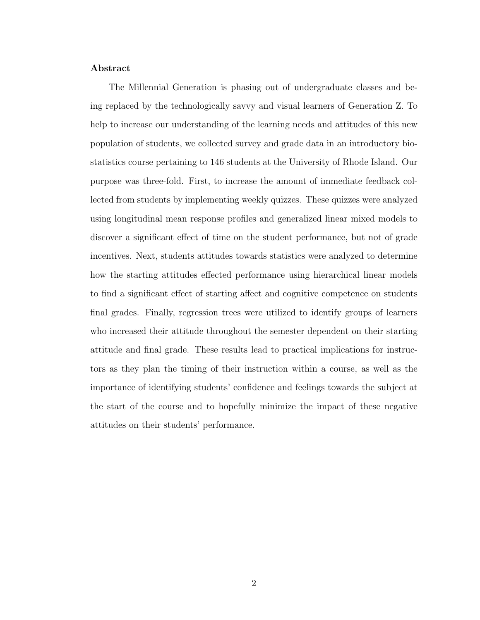#### Abstract

The Millennial Generation is phasing out of undergraduate classes and being replaced by the technologically savvy and visual learners of Generation Z. To help to increase our understanding of the learning needs and attitudes of this new population of students, we collected survey and grade data in an introductory biostatistics course pertaining to 146 students at the University of Rhode Island. Our purpose was three-fold. First, to increase the amount of immediate feedback collected from students by implementing weekly quizzes. These quizzes were analyzed using longitudinal mean response profiles and generalized linear mixed models to discover a significant effect of time on the student performance, but not of grade incentives. Next, students attitudes towards statistics were analyzed to determine how the starting attitudes effected performance using hierarchical linear models to find a significant effect of starting affect and cognitive competence on students final grades. Finally, regression trees were utilized to identify groups of learners who increased their attitude throughout the semester dependent on their starting attitude and final grade. These results lead to practical implications for instructors as they plan the timing of their instruction within a course, as well as the importance of identifying students' confidence and feelings towards the subject at the start of the course and to hopefully minimize the impact of these negative attitudes on their students' performance.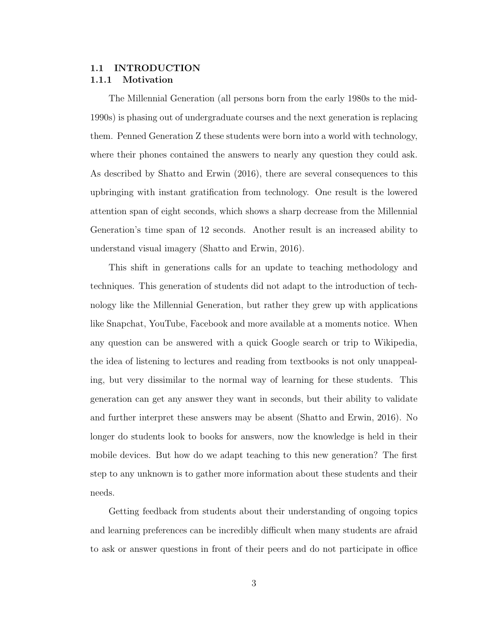#### <span id="page-16-1"></span><span id="page-16-0"></span>1.1 INTRODUCTION 1.1.1 Motivation

The Millennial Generation (all persons born from the early 1980s to the mid-1990s) is phasing out of undergraduate courses and the next generation is replacing them. Penned Generation Z these students were born into a world with technology, where their phones contained the answers to nearly any question they could ask. As described by Shatto and Erwin (2016), there are several consequences to this upbringing with instant gratification from technology. One result is the lowered attention span of eight seconds, which shows a sharp decrease from the Millennial Generation's time span of 12 seconds. Another result is an increased ability to understand visual imagery [\(Shatto and Erwin, 2016\)](#page-40-0).

This shift in generations calls for an update to teaching methodology and techniques. This generation of students did not adapt to the introduction of technology like the Millennial Generation, but rather they grew up with applications like Snapchat, YouTube, Facebook and more available at a moments notice. When any question can be answered with a quick Google search or trip to Wikipedia, the idea of listening to lectures and reading from textbooks is not only unappealing, but very dissimilar to the normal way of learning for these students. This generation can get any answer they want in seconds, but their ability to validate and further interpret these answers may be absent [\(Shatto and Erwin, 2016\)](#page-40-0). No longer do students look to books for answers, now the knowledge is held in their mobile devices. But how do we adapt teaching to this new generation? The first step to any unknown is to gather more information about these students and their needs.

Getting feedback from students about their understanding of ongoing topics and learning preferences can be incredibly difficult when many students are afraid to ask or answer questions in front of their peers and do not participate in office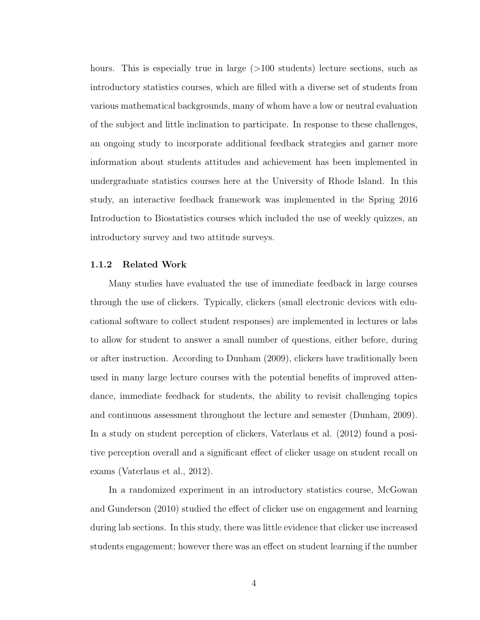hours. This is especially true in large (>100 students) lecture sections, such as introductory statistics courses, which are filled with a diverse set of students from various mathematical backgrounds, many of whom have a low or neutral evaluation of the subject and little inclination to participate. In response to these challenges, an ongoing study to incorporate additional feedback strategies and garner more information about students attitudes and achievement has been implemented in undergraduate statistics courses here at the University of Rhode Island. In this study, an interactive feedback framework was implemented in the Spring 2016 Introduction to Biostatistics courses which included the use of weekly quizzes, an introductory survey and two attitude surveys.

#### <span id="page-17-0"></span>1.1.2 Related Work

Many studies have evaluated the use of immediate feedback in large courses through the use of clickers. Typically, clickers (small electronic devices with educational software to collect student responses) are implemented in lectures or labs to allow for student to answer a small number of questions, either before, during or after instruction. According to Dunham (2009), clickers have traditionally been used in many large lecture courses with the potential benefits of improved attendance, immediate feedback for students, the ability to revisit challenging topics and continuous assessment throughout the lecture and semester [\(Dunham, 2009\)](#page-38-1). In a study on student perception of clickers, Vaterlaus et al. (2012) found a positive perception overall and a significant effect of clicker usage on student recall on exams [\(Vaterlaus et al., 2012\)](#page-40-1).

In a randomized experiment in an introductory statistics course, McGowan and Gunderson (2010) studied the effect of clicker use on engagement and learning during lab sections. In this study, there was little evidence that clicker use increased students engagement; however there was an effect on student learning if the number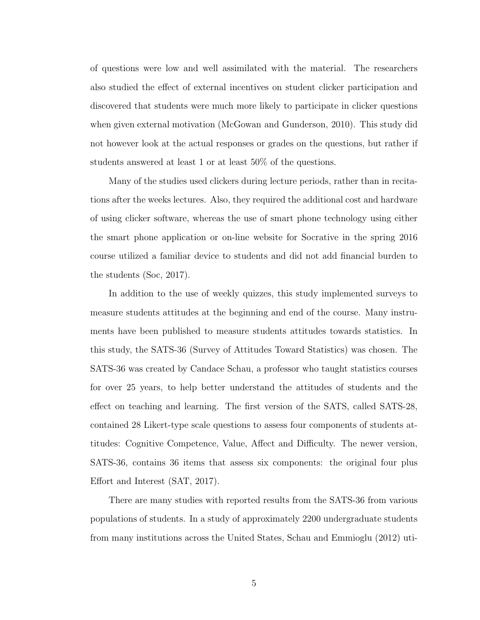of questions were low and well assimilated with the material. The researchers also studied the effect of external incentives on student clicker participation and discovered that students were much more likely to participate in clicker questions when given external motivation [\(McGowan and Gunderson, 2010\)](#page-39-0). This study did not however look at the actual responses or grades on the questions, but rather if students answered at least 1 or at least 50% of the questions.

Many of the studies used clickers during lecture periods, rather than in recitations after the weeks lectures. Also, they required the additional cost and hardware of using clicker software, whereas the use of smart phone technology using either the smart phone application or on-line website for Socrative in the spring 2016 course utilized a familiar device to students and did not add financial burden to the students [\(Soc, 2017\)](#page-38-2).

In addition to the use of weekly quizzes, this study implemented surveys to measure students attitudes at the beginning and end of the course. Many instruments have been published to measure students attitudes towards statistics. In this study, the SATS-36 (Survey of Attitudes Toward Statistics) was chosen. The SATS-36 was created by Candace Schau, a professor who taught statistics courses for over 25 years, to help better understand the attitudes of students and the effect on teaching and learning. The first version of the SATS, called SATS-28, contained 28 Likert-type scale questions to assess four components of students attitudes: Cognitive Competence, Value, Affect and Difficulty. The newer version, SATS-36, contains 36 items that assess six components: the original four plus Effort and Interest [\(SAT, 2017\)](#page-38-3).

There are many studies with reported results from the SATS-36 from various populations of students. In a study of approximately 2200 undergraduate students from many institutions across the United States, Schau and Emmioglu (2012) uti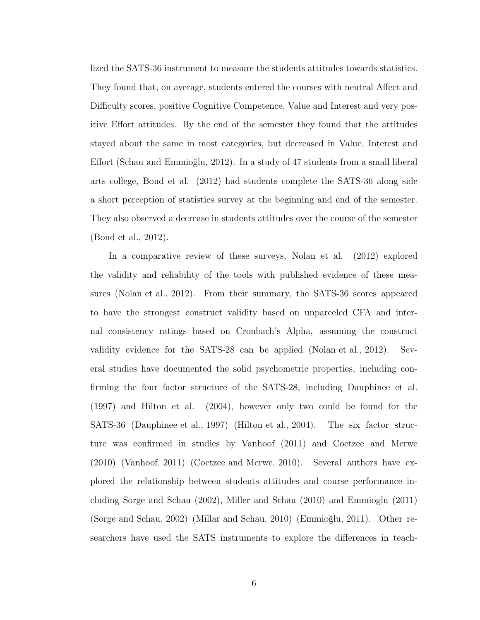lized the SATS-36 instrument to measure the students attitudes towards statistics. They found that, on average, students entered the courses with neutral Affect and Difficulty scores, positive Cognitive Competence, Value and Interest and very positive Effort attitudes. By the end of the semester they found that the attitudes stayed about the same in most categories, but decreased in Value, Interest and Effort (Schau and Emmioğlu, 2012). In a study of 47 students from a small liberal arts college, Bond et al. (2012) had students complete the SATS-36 along side a short perception of statistics survey at the beginning and end of the semester. They also observed a decrease in students attitudes over the course of the semester [\(Bond et al., 2012\)](#page-38-4).

In a comparative review of these surveys, Nolan et al. (2012) explored the validity and reliability of the tools with published evidence of these measures [\(Nolan et al., 2012\)](#page-39-1). From their summary, the SATS-36 scores appeared to have the strongest construct validity based on unparceled CFA and internal consistency ratings based on Cronbach's Alpha, assuming the construct validity evidence for the SATS-28 can be applied [\(Nolan et al., 2012\)](#page-39-1). Several studies have documented the solid psychometric properties, including confirming the four factor structure of the SATS-28, including Dauphinee et al. (1997) and Hilton et al. (2004), however only two could be found for the SATS-36 [\(Dauphinee et al., 1997\)](#page-38-5) [\(Hilton et al., 2004\)](#page-39-2). The six factor structure was confirmed in studies by Vanhoof (2011) and Coetzee and Merwe (2010) [\(Vanhoof, 2011\)](#page-40-3) [\(Coetzee and Merwe, 2010\)](#page-38-6). Several authors have explored the relationship between students attitudes and course performance including Sorge and Schau (2002), Miller and Schau (2010) and Emmioglu (2011) [\(Sorge and Schau, 2002\)](#page-40-4) [\(Millar and Schau, 2010\)](#page-39-3) (Emmioğlu, 2011). Other researchers have used the SATS instruments to explore the differences in teach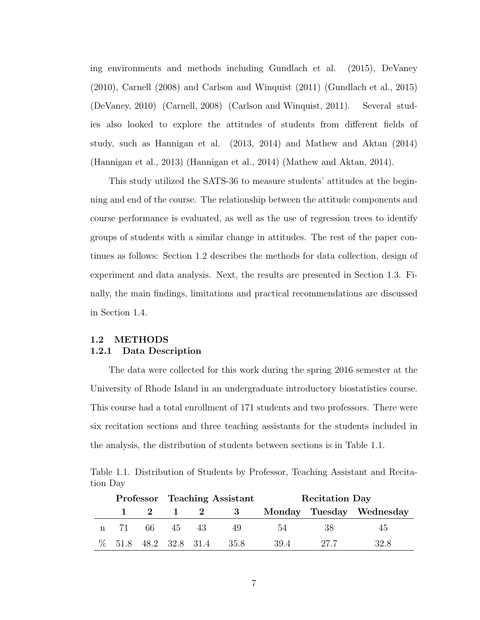ing environments and methods including Gundlach et al. (2015), DeVaney (2010), Carnell (2008) and Carlson and Winquist (2011) [\(Gundlach et al., 2015\)](#page-39-4) [\(DeVaney, 2010\)](#page-38-8) [\(Carnell, 2008\)](#page-38-9) [\(Carlson and Winquist, 2011\)](#page-38-10). Several studies also looked to explore the attitudes of students from different fields of study, such as Hannigan et al. (2013, 2014) and Mathew and Aktan (2014) [\(Hannigan et al., 2013\)](#page-39-5) [\(Hannigan et al., 2014\)](#page-39-6) [\(Mathew and Aktan, 2014\)](#page-39-7).

This study utilized the SATS-36 to measure students' attitudes at the beginning and end of the course. The relationship between the attitude components and course performance is evaluated, as well as the use of regression trees to identify groups of students with a similar change in attitudes. The rest of the paper continues as follows: Section [1.2](#page-20-0) describes the methods for data collection, design of experiment and data analysis. Next, the results are presented in Section [1.3.](#page-27-0) Finally, the main findings, limitations and practical recommendations are discussed in Section [1.4.](#page-34-0)

#### <span id="page-20-1"></span><span id="page-20-0"></span>1.2 METHODS 1.2.1 Data Description

The data were collected for this work during the spring 2016 semester at the University of Rhode Island in an undergraduate introductory biostatistics course. This course had a total enrollment of 171 students and two professors. There were six recitation sections and three teaching assistants for the students included in the analysis, the distribution of students between sections is in Table [1.1.](#page-20-2)

<span id="page-20-2"></span>Table 1.1. Distribution of Students by Professor, Teaching Assistant and Recitation Day

|  |               | Professor Teaching Assistant |  |                                     | <b>Recitation Day</b> |        |                          |
|--|---------------|------------------------------|--|-------------------------------------|-----------------------|--------|--------------------------|
|  |               |                              |  | $1 \quad 2 \quad 1 \quad 2 \quad 3$ |                       |        | Monday Tuesday Wednesday |
|  | n 71 66 45 43 |                              |  | -49                                 | -54                   | -38    | 45                       |
|  |               |                              |  | % 51.8 48.2 32.8 31.4 35.8          | 39.4                  | - 27.7 | 32 S                     |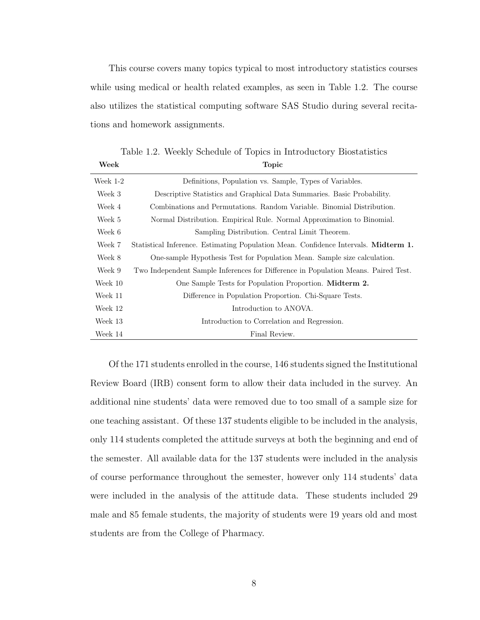This course covers many topics typical to most introductory statistics courses while using medical or health related examples, as seen in Table [1.2.](#page-21-0) The course also utilizes the statistical computing software SAS Studio during several recitations and homework assignments.

<span id="page-21-0"></span>Table 1.2. Weekly Schedule of Topics in Introductory Biostatistics Week Topic Topic

| Week $1-2$ | Definitions, Population vs. Sample, Types of Variables.                             |  |  |  |  |  |
|------------|-------------------------------------------------------------------------------------|--|--|--|--|--|
| Week 3     | Descriptive Statistics and Graphical Data Summaries. Basic Probability.             |  |  |  |  |  |
| Week 4     | Combinations and Permutations. Random Variable. Binomial Distribution.              |  |  |  |  |  |
| Week 5     | Normal Distribution. Empirical Rule. Normal Approximation to Binomial.              |  |  |  |  |  |
| Week 6     | Sampling Distribution. Central Limit Theorem.                                       |  |  |  |  |  |
| Week 7     | Statistical Inference. Estimating Population Mean. Confidence Intervals. Midterm 1. |  |  |  |  |  |
| Week 8     | One-sample Hypothesis Test for Population Mean. Sample size calculation.            |  |  |  |  |  |
| Week 9     | Two Independent Sample Inferences for Difference in Population Means. Paired Test.  |  |  |  |  |  |
| Week 10    | One Sample Tests for Population Proportion. Midterm 2.                              |  |  |  |  |  |
| Week 11    | Difference in Population Proportion. Chi-Square Tests.                              |  |  |  |  |  |
| Week 12    | Introduction to ANOVA.                                                              |  |  |  |  |  |
| Week 13    | Introduction to Correlation and Regression.                                         |  |  |  |  |  |
| Week 14    | Final Review.                                                                       |  |  |  |  |  |

Of the 171 students enrolled in the course, 146 students signed the Institutional Review Board (IRB) consent form to allow their data included in the survey. An additional nine students' data were removed due to too small of a sample size for one teaching assistant. Of these 137 students eligible to be included in the analysis, only 114 students completed the attitude surveys at both the beginning and end of the semester. All available data for the 137 students were included in the analysis of course performance throughout the semester, however only 114 students' data were included in the analysis of the attitude data. These students included 29 male and 85 female students, the majority of students were 19 years old and most students are from the College of Pharmacy.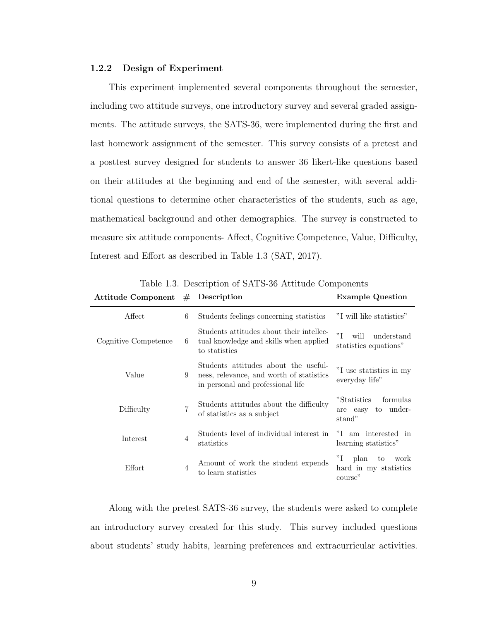#### <span id="page-22-0"></span>1.2.2 Design of Experiment

This experiment implemented several components throughout the semester, including two attitude surveys, one introductory survey and several graded assignments. The attitude surveys, the SATS-36, were implemented during the first and last homework assignment of the semester. This survey consists of a pretest and a posttest survey designed for students to answer 36 likert-like questions based on their attitudes at the beginning and end of the semester, with several additional questions to determine other characteristics of the students, such as age, mathematical background and other demographics. The survey is constructed to measure six attitude components- Affect, Cognitive Competence, Value, Difficulty, Interest and Effort as described in Table [1.3](#page-22-1) [\(SAT, 2017\)](#page-38-3).

| Attitude Component $#$ Description |                |                                                                                                                       | <b>Example Question</b>                                      |  |
|------------------------------------|----------------|-----------------------------------------------------------------------------------------------------------------------|--------------------------------------------------------------|--|
| Affect                             | 6              | Students feelings concerning statistics                                                                               | "I will like statistics"                                     |  |
| Cognitive Competence               | 6              | Students attitudes about their intellec-<br>tual knowledge and skills when applied<br>to statistics                   | "I<br>understand<br>will<br>statistics equations"            |  |
| Value                              | 9              | Students attitudes about the useful-<br>ness, relevance, and worth of statistics<br>in personal and professional life | "I use statistics in my<br>everyday life"                    |  |
| Difficulty                         | $\overline{7}$ | Students attitudes about the difficulty<br>of statistics as a subject                                                 | "Statistics"<br>formulas<br>to under-<br>are easy<br>stand"  |  |
| Interest                           | $\overline{4}$ | Students level of individual interest in<br>statistics                                                                | "I am interested in<br>learning statistics"                  |  |
| Effort                             | $\overline{4}$ | Amount of work the student expends<br>to learn statistics                                                             | "I<br>plan<br>work<br>to<br>hard in my statistics<br>course" |  |

<span id="page-22-1"></span>Table 1.3. Description of SATS-36 Attitude Components

Along with the pretest SATS-36 survey, the students were asked to complete an introductory survey created for this study. This survey included questions about students' study habits, learning preferences and extracurricular activities.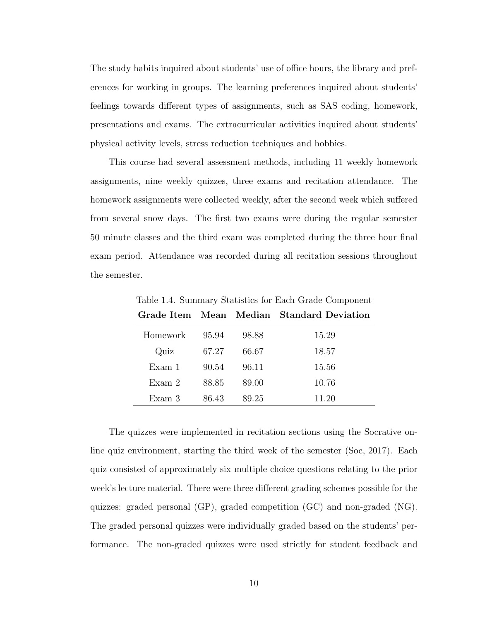The study habits inquired about students' use of office hours, the library and preferences for working in groups. The learning preferences inquired about students' feelings towards different types of assignments, such as SAS coding, homework, presentations and exams. The extracurricular activities inquired about students' physical activity levels, stress reduction techniques and hobbies.

This course had several assessment methods, including 11 weekly homework assignments, nine weekly quizzes, three exams and recitation attendance. The homework assignments were collected weekly, after the second week which suffered from several snow days. The first two exams were during the regular semester 50 minute classes and the third exam was completed during the three hour final exam period. Attendance was recorded during all recitation sessions throughout the semester.

|          |       |       | Grade Item Mean Median Standard Deviation |
|----------|-------|-------|-------------------------------------------|
| Homework | 95.94 | 98.88 | 15.29                                     |
| Quiz     | 67.27 | 66.67 | 18.57                                     |
| Exam 1   | 90.54 | 96.11 | 15.56                                     |
| Exam 2   | 88.85 | 89.00 | 10.76                                     |
| Exam 3   | 86.43 | 89.25 | 11.20                                     |

<span id="page-23-0"></span>Table 1.4. Summary Statistics for Each Grade Component

The quizzes were implemented in recitation sections using the Socrative online quiz environment, starting the third week of the semester [\(Soc, 2017\)](#page-38-2). Each quiz consisted of approximately six multiple choice questions relating to the prior week's lecture material. There were three different grading schemes possible for the quizzes: graded personal (GP), graded competition (GC) and non-graded (NG). The graded personal quizzes were individually graded based on the students' performance. The non-graded quizzes were used strictly for student feedback and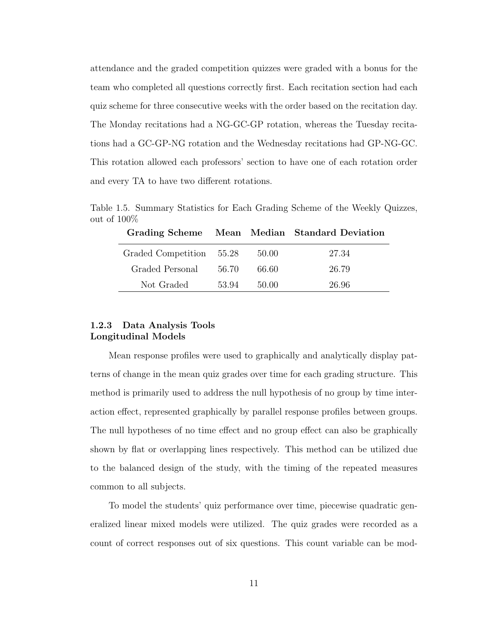attendance and the graded competition quizzes were graded with a bonus for the team who completed all questions correctly first. Each recitation section had each quiz scheme for three consecutive weeks with the order based on the recitation day. The Monday recitations had a NG-GC-GP rotation, whereas the Tuesday recitations had a GC-GP-NG rotation and the Wednesday recitations had GP-NG-GC. This rotation allowed each professors' section to have one of each rotation order and every TA to have two different rotations.

Table 1.5. Summary Statistics for Each Grading Scheme of the Weekly Quizzes, out of 100%

<span id="page-24-1"></span>

|                          |       |       | Grading Scheme Mean Median Standard Deviation |
|--------------------------|-------|-------|-----------------------------------------------|
| Graded Competition 55.28 |       | 50.00 | 27.34                                         |
| Graded Personal          | 56.70 | 66.60 | 26.79                                         |
| Not Graded               | 53.94 | 50.00 | 26.96                                         |

#### <span id="page-24-0"></span>1.2.3 Data Analysis Tools Longitudinal Models

Mean response profiles were used to graphically and analytically display patterns of change in the mean quiz grades over time for each grading structure. This method is primarily used to address the null hypothesis of no group by time interaction effect, represented graphically by parallel response profiles between groups. The null hypotheses of no time effect and no group effect can also be graphically shown by flat or overlapping lines respectively. This method can be utilized due to the balanced design of the study, with the timing of the repeated measures common to all subjects.

To model the students' quiz performance over time, piecewise quadratic generalized linear mixed models were utilized. The quiz grades were recorded as a count of correct responses out of six questions. This count variable can be mod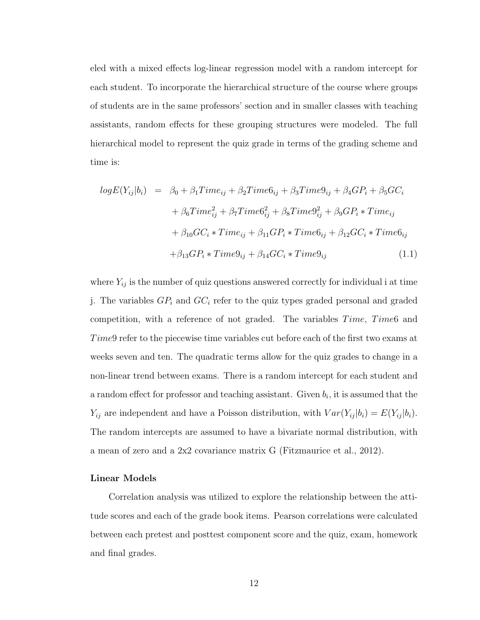eled with a mixed effects log-linear regression model with a random intercept for each student. To incorporate the hierarchical structure of the course where groups of students are in the same professors' section and in smaller classes with teaching assistants, random effects for these grouping structures were modeled. The full hierarchical model to represent the quiz grade in terms of the grading scheme and time is:

$$
logE(Y_{ij}|b_i) = \beta_0 + \beta_1 Time_{ij} + \beta_2 Time6_{ij} + \beta_3 Time9_{ij} + \beta_4 GP_i + \beta_5 GC_i
$$
  
+ 
$$
\beta_6 Time_{ij}^2 + \beta_7 Time6_{ij}^2 + \beta_8 Time9_{ij}^2 + \beta_9 GP_i * Time_{ij}
$$
  
+ 
$$
\beta_{10} GC_i * Time_{ij} + \beta_{11} GP_i * Time6_{ij} + \beta_{12} GC_i * Time6_{ij}
$$
  
+ 
$$
\beta_{13} GP_i * Time9_{ij} + \beta_{14} GC_i * Time9_{ij}
$$
 (1.1)

where  $Y_{ij}$  is the number of quiz questions answered correctly for individual i at time j. The variables  $GP_i$  and  $GC_i$  refer to the quiz types graded personal and graded competition, with a reference of not graded. The variables  $Time, Time6$  and Time9 refer to the piecewise time variables cut before each of the first two exams at weeks seven and ten. The quadratic terms allow for the quiz grades to change in a non-linear trend between exams. There is a random intercept for each student and a random effect for professor and teaching assistant. Given  $b_i$ , it is assumed that the  $Y_{ij}$  are independent and have a Poisson distribution, with  $Var(Y_{ij} | b_i) = E(Y_{ij} | b_i)$ . The random intercepts are assumed to have a bivariate normal distribution, with a mean of zero and a 2x2 covariance matrix G [\(Fitzmaurice et al., 2012\)](#page-39-8).

#### Linear Models

Correlation analysis was utilized to explore the relationship between the attitude scores and each of the grade book items. Pearson correlations were calculated between each pretest and posttest component score and the quiz, exam, homework and final grades.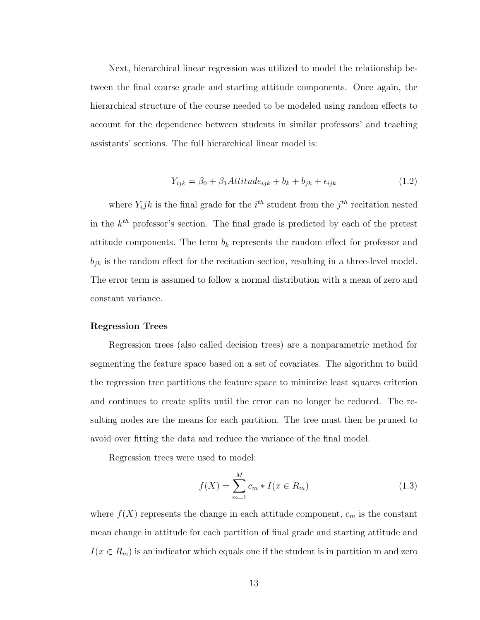Next, hierarchical linear regression was utilized to model the relationship between the final course grade and starting attitude components. Once again, the hierarchical structure of the course needed to be modeled using random effects to account for the dependence between students in similar professors' and teaching assistants' sections. The full hierarchical linear model is:

$$
Y_{ijk} = \beta_0 + \beta_1 Attitude_{ijk} + b_k + b_{jk} + \epsilon_{ijk}
$$
\n(1.2)

where  $Y_i jk$  is the final grade for the  $i^{th}$  student from the  $j^{th}$  recitation nested in the  $k^{th}$  professor's section. The final grade is predicted by each of the pretest attitude components. The term  $b_k$  represents the random effect for professor and  $b_{jk}$  is the random effect for the recitation section, resulting in a three-level model. The error term is assumed to follow a normal distribution with a mean of zero and constant variance.

#### Regression Trees

Regression trees (also called decision trees) are a nonparametric method for segmenting the feature space based on a set of covariates. The algorithm to build the regression tree partitions the feature space to minimize least squares criterion and continues to create splits until the error can no longer be reduced. The resulting nodes are the means for each partition. The tree must then be pruned to avoid over fitting the data and reduce the variance of the final model.

Regression trees were used to model:

$$
f(X) = \sum_{m=1}^{M} c_m * I(x \in R_m)
$$
 (1.3)

where  $f(X)$  represents the change in each attitude component,  $c_m$  is the constant mean change in attitude for each partition of final grade and starting attitude and  $I(x \in R_m)$  is an indicator which equals one if the student is in partition m and zero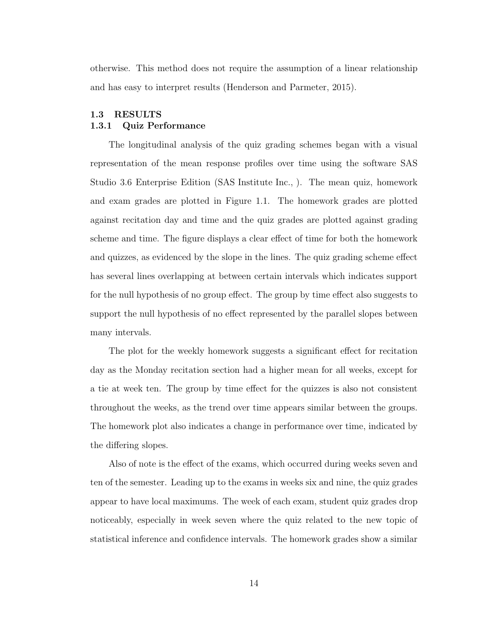otherwise. This method does not require the assumption of a linear relationship and has easy to interpret results [\(Henderson and Parmeter, 2015\)](#page-39-9).

#### <span id="page-27-1"></span><span id="page-27-0"></span>1.3 RESULTS 1.3.1 Quiz Performance

The longitudinal analysis of the quiz grading schemes began with a visual representation of the mean response profiles over time using the software SAS Studio 3.6 Enterprise Edition [\(SAS Institute Inc., \)](#page-40-5). The mean quiz, homework and exam grades are plotted in Figure [1.1.](#page-28-0) The homework grades are plotted against recitation day and time and the quiz grades are plotted against grading scheme and time. The figure displays a clear effect of time for both the homework and quizzes, as evidenced by the slope in the lines. The quiz grading scheme effect has several lines overlapping at between certain intervals which indicates support for the null hypothesis of no group effect. The group by time effect also suggests to support the null hypothesis of no effect represented by the parallel slopes between many intervals.

The plot for the weekly homework suggests a significant effect for recitation day as the Monday recitation section had a higher mean for all weeks, except for a tie at week ten. The group by time effect for the quizzes is also not consistent throughout the weeks, as the trend over time appears similar between the groups. The homework plot also indicates a change in performance over time, indicated by the differing slopes.

Also of note is the effect of the exams, which occurred during weeks seven and ten of the semester. Leading up to the exams in weeks six and nine, the quiz grades appear to have local maximums. The week of each exam, student quiz grades drop noticeably, especially in week seven where the quiz related to the new topic of statistical inference and confidence intervals. The homework grades show a similar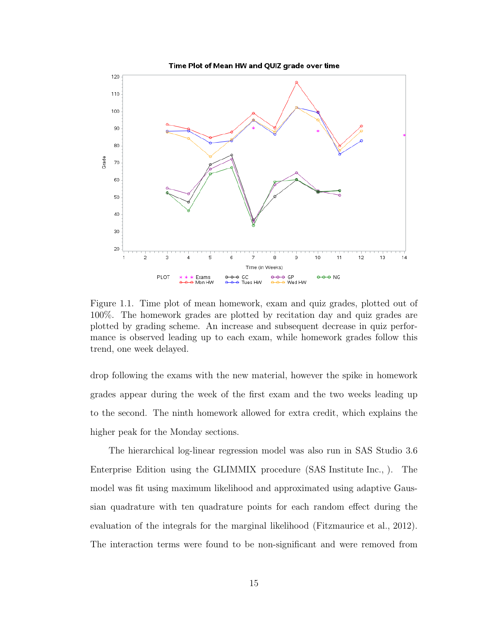

<span id="page-28-0"></span>Figure 1.1. Time plot of mean homework, exam and quiz grades, plotted out of 100%. The homework grades are plotted by recitation day and quiz grades are plotted by grading scheme. An increase and subsequent decrease in quiz performance is observed leading up to each exam, while homework grades follow this trend, one week delayed.

drop following the exams with the new material, however the spike in homework grades appear during the week of the first exam and the two weeks leading up to the second. The ninth homework allowed for extra credit, which explains the higher peak for the Monday sections.

The hierarchical log-linear regression model was also run in SAS Studio 3.6 Enterprise Edition using the GLIMMIX procedure [\(SAS Institute Inc., \)](#page-40-5). The model was fit using maximum likelihood and approximated using adaptive Gaussian quadrature with ten quadrature points for each random effect during the evaluation of the integrals for the marginal likelihood [\(Fitzmaurice et al., 2012\)](#page-39-8). The interaction terms were found to be non-significant and were removed from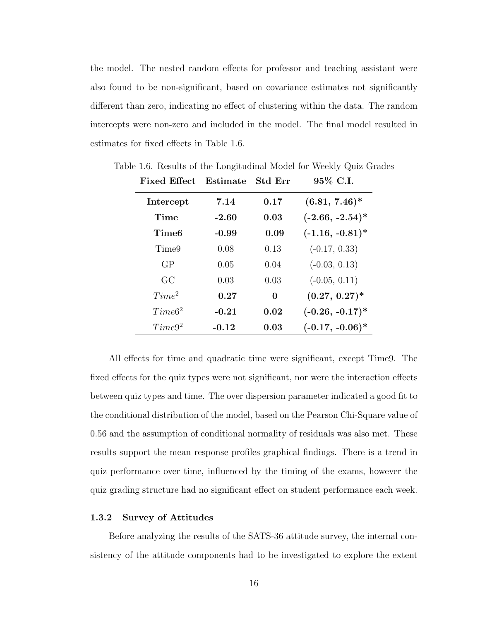the model. The nested random effects for professor and teaching assistant were also found to be non-significant, based on covariance estimates not significantly different than zero, indicating no effect of clustering within the data. The random intercepts were non-zero and included in the model. The final model resulted in estimates for fixed effects in Table [1.6.](#page-29-1)

<span id="page-29-1"></span>

| <b>Fixed Effect</b> | Estimate | <b>Std Err</b> | 95% C.I.           |
|---------------------|----------|----------------|--------------------|
| Intercept           | 7.14     | 0.17           | $(6.81, 7.46)^*$   |
| Time                | $-2.60$  | 0.03           | $(-2.66, -2.54)^*$ |
| Time6               | $-0.99$  | 0.09           | $(-1.16, -0.81)^*$ |
| Time9               | 0.08     | 0.13           | $(-0.17, 0.33)$    |
| GP                  | 0.05     | 0.04           | $(-0.03, 0.13)$    |
| GC                  | 0.03     | 0.03           | $(-0.05, 0.11)$    |
| Time <sup>2</sup>   | 0.27     | 0              | $(0.27, 0.27)^*$   |
| Time6 <sup>2</sup>  | $-0.21$  | 0.02           | $(-0.26, -0.17)^*$ |
| Time9 <sup>2</sup>  | $-0.12$  | 0.03           | $(-0.17, -0.06)^*$ |

Table 1.6. Results of the Longitudinal Model for Weekly Quiz Grades

All effects for time and quadratic time were significant, except Time9. The fixed effects for the quiz types were not significant, nor were the interaction effects between quiz types and time. The over dispersion parameter indicated a good fit to the conditional distribution of the model, based on the Pearson Chi-Square value of 0.56 and the assumption of conditional normality of residuals was also met. These results support the mean response profiles graphical findings. There is a trend in quiz performance over time, influenced by the timing of the exams, however the quiz grading structure had no significant effect on student performance each week.

#### <span id="page-29-0"></span>1.3.2 Survey of Attitudes

Before analyzing the results of the SATS-36 attitude survey, the internal consistency of the attitude components had to be investigated to explore the extent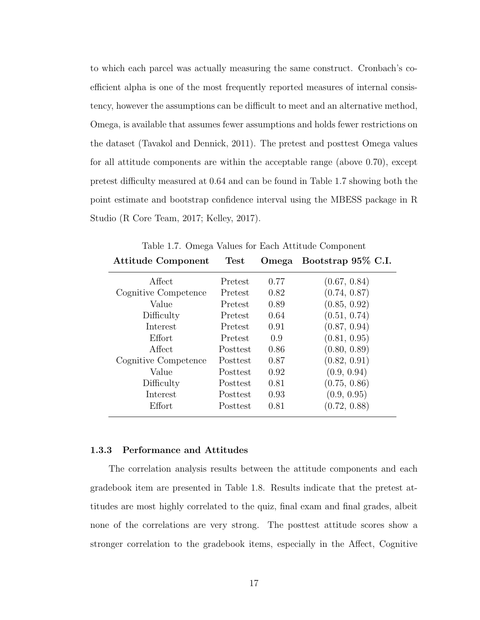to which each parcel was actually measuring the same construct. Cronbach's coefficient alpha is one of the most frequently reported measures of internal consistency, however the assumptions can be difficult to meet and an alternative method, Omega, is available that assumes fewer assumptions and holds fewer restrictions on the dataset [\(Tavakol and Dennick, 2011\)](#page-40-6). The pretest and posttest Omega values for all attitude components are within the acceptable range (above 0.70), except pretest difficulty measured at 0.64 and can be found in Table [1.7](#page-30-1) showing both the point estimate and bootstrap confidence interval using the MBESS package in R Studio [\(R Core Team, 2017;](#page-40-7) [Kelley, 2017\)](#page-39-10).

| <b>Attitude Component</b> | Test     | Omega | Bootstrap 95% C.I. |
|---------------------------|----------|-------|--------------------|
| Affect                    | Pretest  | 0.77  | (0.67, 0.84)       |
| Cognitive Competence      | Pretest  | 0.82  | (0.74, 0.87)       |
| Value                     | Pretest  | 0.89  | (0.85, 0.92)       |
| Difficulty                | Pretest  | 0.64  | (0.51, 0.74)       |
| Interest                  | Pretest  | 0.91  | (0.87, 0.94)       |
| Effort                    | Pretest  | 0.9   | (0.81, 0.95)       |
| Affect                    | Posttest | 0.86  | (0.80, 0.89)       |
| Cognitive Competence      | Posttest | 0.87  | (0.82, 0.91)       |
| Value                     | Posttest | 0.92  | (0.9, 0.94)        |
| Difficulty                | Posttest | 0.81  | (0.75, 0.86)       |
| Interest                  | Posttest | 0.93  | (0.9, 0.95)        |
| Effort                    | Posttest | 0.81  | (0.72, 0.88)       |

<span id="page-30-1"></span>Table 1.7. Omega Values for Each Attitude Component

#### <span id="page-30-0"></span>1.3.3 Performance and Attitudes

The correlation analysis results between the attitude components and each gradebook item are presented in Table [1.8.](#page-31-0) Results indicate that the pretest attitudes are most highly correlated to the quiz, final exam and final grades, albeit none of the correlations are very strong. The posttest attitude scores show a stronger correlation to the gradebook items, especially in the Affect, Cognitive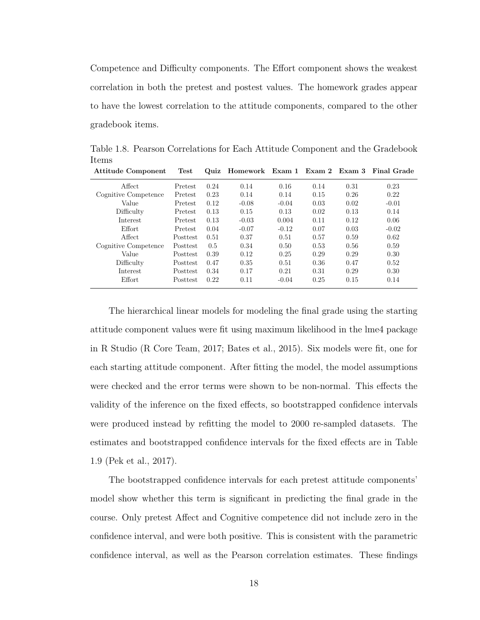Competence and Difficulty components. The Effort component shows the weakest correlation in both the pretest and postest values. The homework grades appear to have the lowest correlation to the attitude components, compared to the other gradebook items.

| <b>Attitude Component</b> | Test     |      |         |         |      |      | Quiz Homework Exam 1 Exam 2 Exam 3 Final Grade |
|---------------------------|----------|------|---------|---------|------|------|------------------------------------------------|
| Affect                    | Pretest  | 0.24 | 0.14    | 0.16    | 0.14 | 0.31 | 0.23                                           |
| Cognitive Competence      | Pretest  | 0.23 | 0.14    | 0.14    | 0.15 | 0.26 | 0.22                                           |
| Value                     | Pretest  | 0.12 | $-0.08$ | $-0.04$ | 0.03 | 0.02 | $-0.01$                                        |
| Difficulty                | Pretest  | 0.13 | 0.15    | 0.13    | 0.02 | 0.13 | 0.14                                           |
| Interest                  | Pretest  | 0.13 | $-0.03$ | 0.004   | 0.11 | 0.12 | 0.06                                           |
| Effort                    | Pretest  | 0.04 | $-0.07$ | $-0.12$ | 0.07 | 0.03 | $-0.02$                                        |
| Affect                    | Posttest | 0.51 | 0.37    | 0.51    | 0.57 | 0.59 | 0.62                                           |
| Cognitive Competence      | Posttest | 0.5  | 0.34    | 0.50    | 0.53 | 0.56 | 0.59                                           |
| Value                     | Posttest | 0.39 | 0.12    | 0.25    | 0.29 | 0.29 | 0.30                                           |
| Difficulty                | Posttest | 0.47 | 0.35    | 0.51    | 0.36 | 0.47 | 0.52                                           |
| Interest                  | Posttest | 0.34 | 0.17    | 0.21    | 0.31 | 0.29 | 0.30                                           |
| Effort                    | Posttest | 0.22 | 0.11    | $-0.04$ | 0.25 | 0.15 | 0.14                                           |
|                           |          |      |         |         |      |      |                                                |

<span id="page-31-0"></span>Table 1.8. Pearson Correlations for Each Attitude Component and the Gradebook Items

The hierarchical linear models for modeling the final grade using the starting attitude component values were fit using maximum likelihood in the lme4 package in R Studio [\(R Core Team, 2017;](#page-40-7) [Bates et al., 2015\)](#page-38-11). Six models were fit, one for each starting attitude component. After fitting the model, the model assumptions were checked and the error terms were shown to be non-normal. This effects the validity of the inference on the fixed effects, so bootstrapped confidence intervals were produced instead by refitting the model to 2000 re-sampled datasets. The estimates and bootstrapped confidence intervals for the fixed effects are in Table [1.9](#page-32-1) [\(Pek et al., 2017\)](#page-39-11).

The bootstrapped confidence intervals for each pretest attitude components' model show whether this term is significant in predicting the final grade in the course. Only pretest Affect and Cognitive competence did not include zero in the confidence interval, and were both positive. This is consistent with the parametric confidence interval, as well as the Pearson correlation estimates. These findings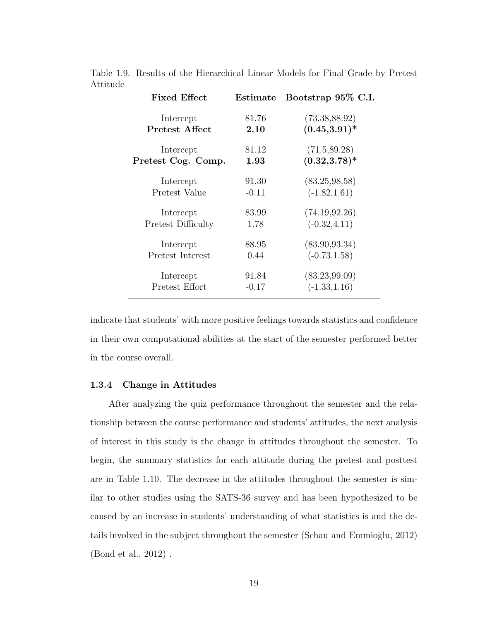<span id="page-32-1"></span>

| <b>Fixed Effect</b> | ${\rm Estimate}$ | Bootstrap 95% C.I. |  |  |
|---------------------|------------------|--------------------|--|--|
| Intercept           | 81.76            | (73.38, 88.92)     |  |  |
| Pretest Affect      | 2.10             | $(0.45, 3.91)^*$   |  |  |
| Intercept           | 81.12            | (71.5, 89.28)      |  |  |
| Pretest Cog. Comp.  | 1.93             | $(0.32, 3.78)^*$   |  |  |
| Intercept           | 91.30            | (83.25, 98.58)     |  |  |
| Pretest Value       | $-0.11$          | $(-1.82, 1.61)$    |  |  |
| Intercept           | 83.99            | (74.19, 92.26)     |  |  |
| Pretest Difficulty  | 1.78             | $(-0.32, 4.11)$    |  |  |
| Intercept           | 88.95            | (83.90, 93.34)     |  |  |
| Pretest Interest    | 0.44             | $(-0.73, 1.58)$    |  |  |
| Intercept           | 91.84            | (83.23, 99.09)     |  |  |
| Pretest Effort      | $-0.17$          | $(-1.33, 1.16)$    |  |  |
|                     |                  |                    |  |  |

Table 1.9. Results of the Hierarchical Linear Models for Final Grade by Pretest Attitude

indicate that students' with more positive feelings towards statistics and confidence in their own computational abilities at the start of the semester performed better in the course overall.

#### <span id="page-32-0"></span>1.3.4 Change in Attitudes

After analyzing the quiz performance throughout the semester and the relationship between the course performance and students' attitudes, the next analysis of interest in this study is the change in attitudes throughout the semester. To begin, the summary statistics for each attitude during the pretest and posttest are in Table [1.10.](#page-33-0) The decrease in the attitudes throughout the semester is similar to other studies using the SATS-36 survey and has been hypothesized to be caused by an increase in students' understanding of what statistics is and the details involved in the subject throughout the semester (Schau and Emmioğlu, 2012) [\(Bond et al., 2012\)](#page-38-4) .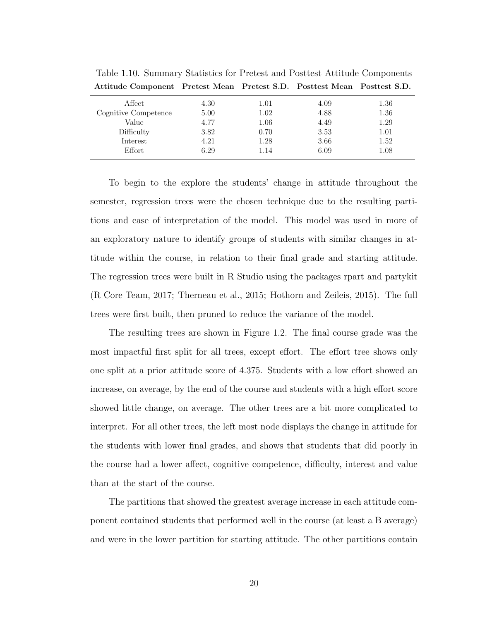| Attitude Component Fretest Mean Fretest S.D. Fosttest Mean Fosttest S.D. |      |      |      |      |
|--------------------------------------------------------------------------|------|------|------|------|
| Affect                                                                   | 4.30 | 1.01 | 4.09 | 1.36 |
| Cognitive Competence                                                     | 5.00 | 1.02 | 4.88 | 1.36 |
| Value                                                                    | 4.77 | 1.06 | 4.49 | 1.29 |
| Difficulty                                                               | 3.82 | 0.70 | 3.53 | 1.01 |
| Interest                                                                 | 4.21 | 1.28 | 3.66 | 1.52 |
| Effort                                                                   | 6.29 | 1.14 | 6.09 | 1.08 |
|                                                                          |      |      |      |      |

<span id="page-33-0"></span>Table 1.10. Summary Statistics for Pretest and Posttest Attitude Components Attitude Component Pretest Mean Pretest S.D. Posttest Mean Posttest S.D.

To begin to the explore the students' change in attitude throughout the semester, regression trees were the chosen technique due to the resulting partitions and ease of interpretation of the model. This model was used in more of an exploratory nature to identify groups of students with similar changes in attitude within the course, in relation to their final grade and starting attitude. The regression trees were built in R Studio using the packages rpart and partykit [\(R Core Team, 2017;](#page-40-7) [Therneau et al., 2015;](#page-40-8) [Hothorn and Zeileis, 2015\)](#page-39-12). The full trees were first built, then pruned to reduce the variance of the model.

The resulting trees are shown in Figure [1.2.](#page-41-0) The final course grade was the most impactful first split for all trees, except effort. The effort tree shows only one split at a prior attitude score of 4.375. Students with a low effort showed an increase, on average, by the end of the course and students with a high effort score showed little change, on average. The other trees are a bit more complicated to interpret. For all other trees, the left most node displays the change in attitude for the students with lower final grades, and shows that students that did poorly in the course had a lower affect, cognitive competence, difficulty, interest and value than at the start of the course.

The partitions that showed the greatest average increase in each attitude component contained students that performed well in the course (at least a B average) and were in the lower partition for starting attitude. The other partitions contain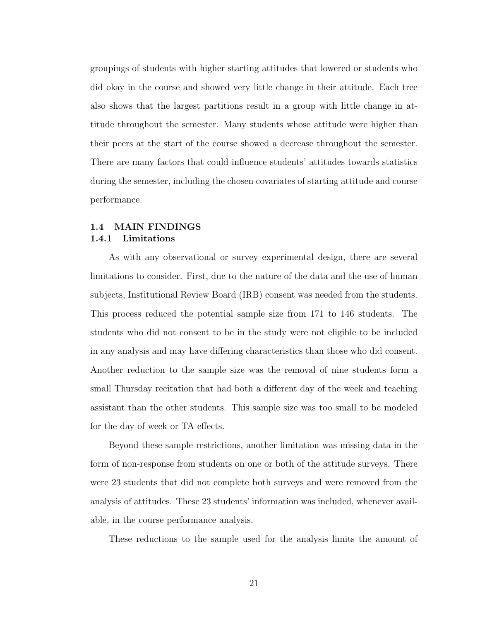groupings of students with higher starting attitudes that lowered or students who did okay in the course and showed very little change in their attitude. Each tree also shows that the largest partitions result in a group with little change in attitude throughout the semester. Many students whose attitude were higher than their peers at the start of the course showed a decrease throughout the semester. There are many factors that could influence students' attitudes towards statistics during the semester, including the chosen covariates of starting attitude and course performance.

#### <span id="page-34-1"></span><span id="page-34-0"></span>1.4 MAIN FINDINGS 1.4.1 Limitations

As with any observational or survey experimental design, there are several limitations to consider. First, due to the nature of the data and the use of human subjects, Institutional Review Board (IRB) consent was needed from the students. This process reduced the potential sample size from 171 to 146 students. The students who did not consent to be in the study were not eligible to be included in any analysis and may have differing characteristics than those who did consent. Another reduction to the sample size was the removal of nine students form a small Thursday recitation that had both a different day of the week and teaching assistant than the other students. This sample size was too small to be modeled for the day of week or TA effects.

Beyond these sample restrictions, another limitation was missing data in the form of non-response from students on one or both of the attitude surveys. There were 23 students that did not complete both surveys and were removed from the analysis of attitudes. These 23 students' information was included, whenever available, in the course performance analysis.

These reductions to the sample used for the analysis limits the amount of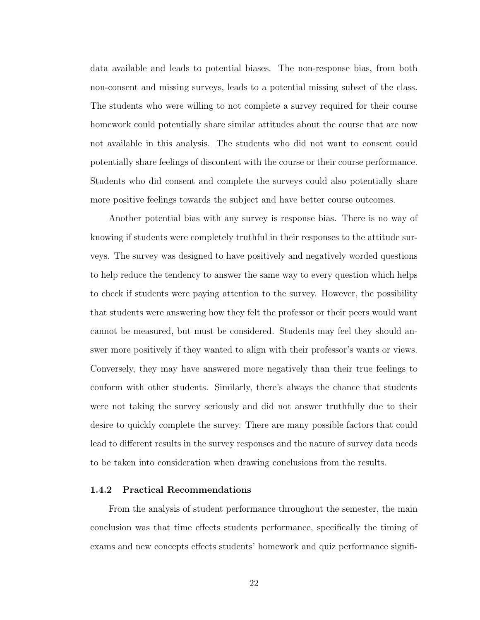data available and leads to potential biases. The non-response bias, from both non-consent and missing surveys, leads to a potential missing subset of the class. The students who were willing to not complete a survey required for their course homework could potentially share similar attitudes about the course that are now not available in this analysis. The students who did not want to consent could potentially share feelings of discontent with the course or their course performance. Students who did consent and complete the surveys could also potentially share more positive feelings towards the subject and have better course outcomes.

Another potential bias with any survey is response bias. There is no way of knowing if students were completely truthful in their responses to the attitude surveys. The survey was designed to have positively and negatively worded questions to help reduce the tendency to answer the same way to every question which helps to check if students were paying attention to the survey. However, the possibility that students were answering how they felt the professor or their peers would want cannot be measured, but must be considered. Students may feel they should answer more positively if they wanted to align with their professor's wants or views. Conversely, they may have answered more negatively than their true feelings to conform with other students. Similarly, there's always the chance that students were not taking the survey seriously and did not answer truthfully due to their desire to quickly complete the survey. There are many possible factors that could lead to different results in the survey responses and the nature of survey data needs to be taken into consideration when drawing conclusions from the results.

#### <span id="page-35-0"></span>1.4.2 Practical Recommendations

From the analysis of student performance throughout the semester, the main conclusion was that time effects students performance, specifically the timing of exams and new concepts effects students' homework and quiz performance signifi-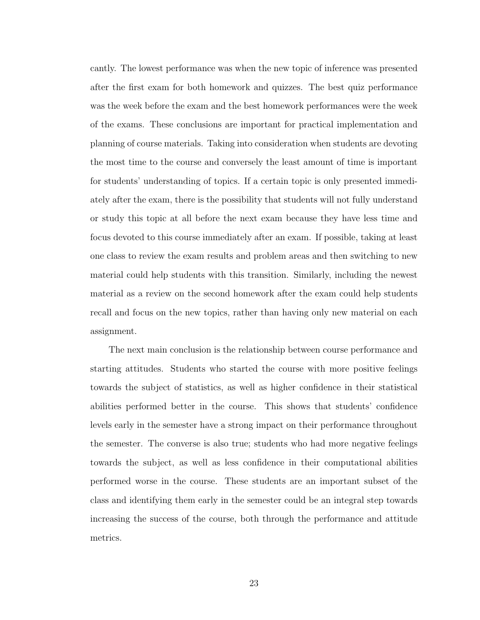cantly. The lowest performance was when the new topic of inference was presented after the first exam for both homework and quizzes. The best quiz performance was the week before the exam and the best homework performances were the week of the exams. These conclusions are important for practical implementation and planning of course materials. Taking into consideration when students are devoting the most time to the course and conversely the least amount of time is important for students' understanding of topics. If a certain topic is only presented immediately after the exam, there is the possibility that students will not fully understand or study this topic at all before the next exam because they have less time and focus devoted to this course immediately after an exam. If possible, taking at least one class to review the exam results and problem areas and then switching to new material could help students with this transition. Similarly, including the newest material as a review on the second homework after the exam could help students recall and focus on the new topics, rather than having only new material on each assignment.

The next main conclusion is the relationship between course performance and starting attitudes. Students who started the course with more positive feelings towards the subject of statistics, as well as higher confidence in their statistical abilities performed better in the course. This shows that students' confidence levels early in the semester have a strong impact on their performance throughout the semester. The converse is also true; students who had more negative feelings towards the subject, as well as less confidence in their computational abilities performed worse in the course. These students are an important subset of the class and identifying them early in the semester could be an integral step towards increasing the success of the course, both through the performance and attitude metrics.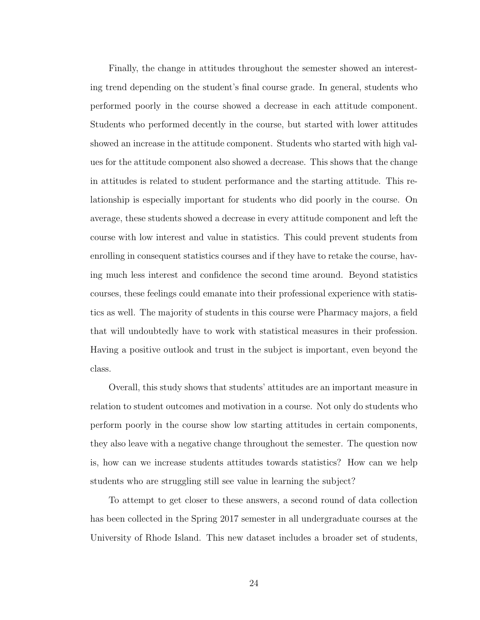Finally, the change in attitudes throughout the semester showed an interesting trend depending on the student's final course grade. In general, students who performed poorly in the course showed a decrease in each attitude component. Students who performed decently in the course, but started with lower attitudes showed an increase in the attitude component. Students who started with high values for the attitude component also showed a decrease. This shows that the change in attitudes is related to student performance and the starting attitude. This relationship is especially important for students who did poorly in the course. On average, these students showed a decrease in every attitude component and left the course with low interest and value in statistics. This could prevent students from enrolling in consequent statistics courses and if they have to retake the course, having much less interest and confidence the second time around. Beyond statistics courses, these feelings could emanate into their professional experience with statistics as well. The majority of students in this course were Pharmacy majors, a field that will undoubtedly have to work with statistical measures in their profession. Having a positive outlook and trust in the subject is important, even beyond the class.

Overall, this study shows that students' attitudes are an important measure in relation to student outcomes and motivation in a course. Not only do students who perform poorly in the course show low starting attitudes in certain components, they also leave with a negative change throughout the semester. The question now is, how can we increase students attitudes towards statistics? How can we help students who are struggling still see value in learning the subject?

To attempt to get closer to these answers, a second round of data collection has been collected in the Spring 2017 semester in all undergraduate courses at the University of Rhode Island. This new dataset includes a broader set of students,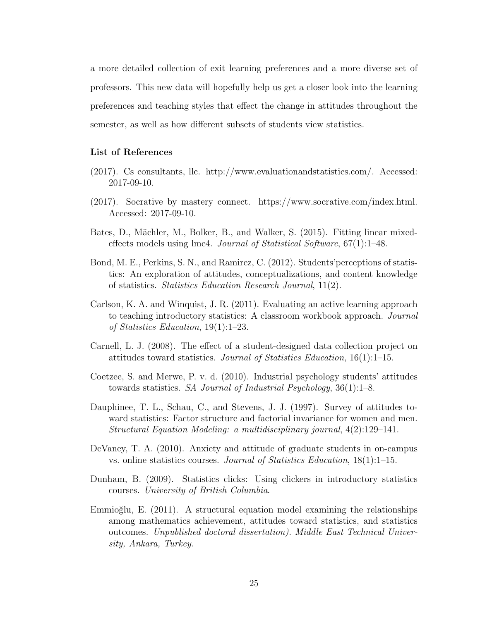a more detailed collection of exit learning preferences and a more diverse set of professors. This new data will hopefully help us get a closer look into the learning preferences and teaching styles that effect the change in attitudes throughout the semester, as well as how different subsets of students view statistics.

#### List of References

- (2017). Cs consultants, llc. [http://www.evaluationandstatistics.com/.](http://www.evaluationandstatistics.com/) Accessed: 2017-09-10.
- (2017). Socrative by mastery connect. [https://www.socrative.com/index.html.](https://www.socrative.com/index.html) Accessed: 2017-09-10.
- Bates, D., Mächler, M., Bolker, B., and Walker, S. (2015). Fitting linear mixedeffects models using lme4. Journal of Statistical Software, 67(1):1–48.
- Bond, M. E., Perkins, S. N., and Ramirez, C. (2012). Students'perceptions of statistics: An exploration of attitudes, conceptualizations, and content knowledge of statistics. Statistics Education Research Journal, 11(2).
- Carlson, K. A. and Winquist, J. R. (2011). Evaluating an active learning approach to teaching introductory statistics: A classroom workbook approach. *Journal* of Statistics Education, 19(1):1–23.
- Carnell, L. J. (2008). The effect of a student-designed data collection project on attitudes toward statistics. Journal of Statistics Education, 16(1):1–15.
- Coetzee, S. and Merwe, P. v. d. (2010). Industrial psychology students' attitudes towards statistics. SA Journal of Industrial Psychology,  $36(1)$ :1–8.
- Dauphinee, T. L., Schau, C., and Stevens, J. J. (1997). Survey of attitudes toward statistics: Factor structure and factorial invariance for women and men. Structural Equation Modeling: a multidisciplinary journal, 4(2):129–141.
- DeVaney, T. A. (2010). Anxiety and attitude of graduate students in on-campus vs. online statistics courses. *Journal of Statistics Education*,  $18(1)$ : $1-15$ .
- Dunham, B. (2009). Statistics clicks: Using clickers in introductory statistics courses. University of British Columbia.
- Emmioğlu, E.  $(2011)$ . A structural equation model examining the relationships among mathematics achievement, attitudes toward statistics, and statistics outcomes. Unpublished doctoral dissertation). Middle East Technical University, Ankara, Turkey.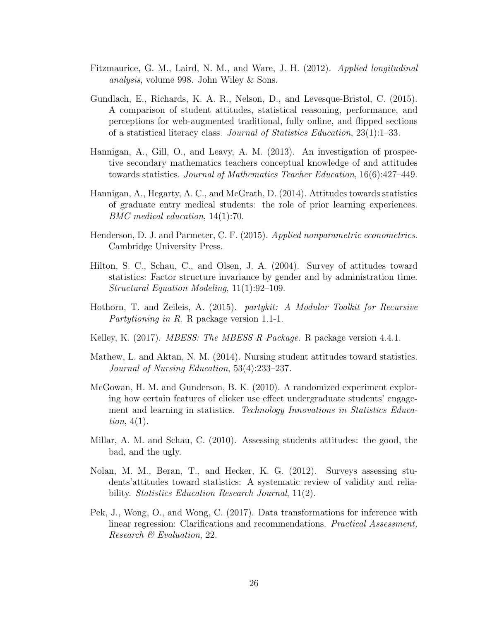- Fitzmaurice, G. M., Laird, N. M., and Ware, J. H. (2012). Applied longitudinal analysis, volume 998. John Wiley & Sons.
- Gundlach, E., Richards, K. A. R., Nelson, D., and Levesque-Bristol, C. (2015). A comparison of student attitudes, statistical reasoning, performance, and perceptions for web-augmented traditional, fully online, and flipped sections of a statistical literacy class. Journal of Statistics Education, 23(1):1–33.
- Hannigan, A., Gill, O., and Leavy, A. M. (2013). An investigation of prospective secondary mathematics teachers conceptual knowledge of and attitudes towards statistics. Journal of Mathematics Teacher Education, 16(6):427–449.
- Hannigan, A., Hegarty, A. C., and McGrath, D. (2014). Attitudes towards statistics of graduate entry medical students: the role of prior learning experiences. BMC medical education, 14(1):70.
- Henderson, D. J. and Parmeter, C. F. (2015). Applied nonparametric econometrics. Cambridge University Press.
- Hilton, S. C., Schau, C., and Olsen, J. A. (2004). Survey of attitudes toward statistics: Factor structure invariance by gender and by administration time. Structural Equation Modeling, 11(1):92–109.
- Hothorn, T. and Zeileis, A. (2015). partykit: A Modular Toolkit for Recursive Partytioning in R. R package version 1.1-1.
- Kelley, K. (2017). *MBESS: The MBESS R Package*. R package version 4.4.1.
- Mathew, L. and Aktan, N. M. (2014). Nursing student attitudes toward statistics. Journal of Nursing Education, 53(4):233–237.
- McGowan, H. M. and Gunderson, B. K. (2010). A randomized experiment exploring how certain features of clicker use effect undergraduate students' engagement and learning in statistics. Technology Innovations in Statistics Education,  $4(1)$ .
- Millar, A. M. and Schau, C. (2010). Assessing students attitudes: the good, the bad, and the ugly.
- Nolan, M. M., Beran, T., and Hecker, K. G. (2012). Surveys assessing students'attitudes toward statistics: A systematic review of validity and reliability. *Statistics Education Research Journal*, 11(2).
- Pek, J., Wong, O., and Wong, C. (2017). Data transformations for inference with linear regression: Clarifications and recommendations. *Practical Assessment*, Research & Evaluation, 22.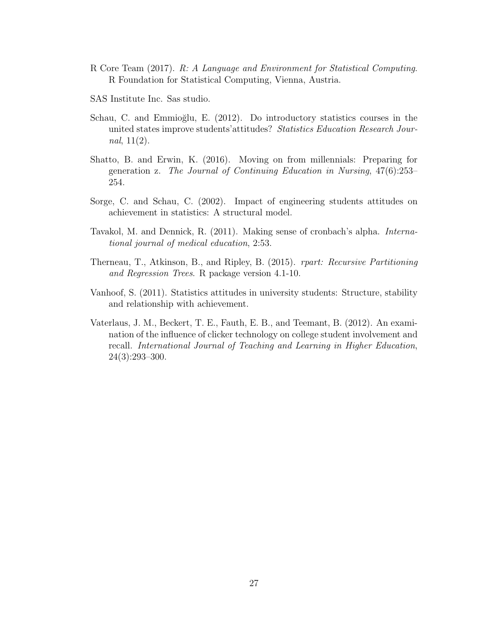- R Core Team (2017). R: A Language and Environment for Statistical Computing. R Foundation for Statistical Computing, Vienna, Austria.
- SAS Institute Inc. Sas studio.
- Schau, C. and Emmioğlu, E. (2012). Do introductory statistics courses in the united states improve students' attitudes? Statistics Education Research Journal,  $11(2)$ .
- Shatto, B. and Erwin, K. (2016). Moving on from millennials: Preparing for generation z. The Journal of Continuing Education in Nursing, 47(6):253– 254.
- Sorge, C. and Schau, C. (2002). Impact of engineering students attitudes on achievement in statistics: A structural model.
- Tavakol, M. and Dennick, R. (2011). Making sense of cronbach's alpha. International journal of medical education, 2:53.
- Therneau, T., Atkinson, B., and Ripley, B. (2015). rpart: Recursive Partitioning and Regression Trees. R package version 4.1-10.
- Vanhoof, S. (2011). Statistics attitudes in university students: Structure, stability and relationship with achievement.
- Vaterlaus, J. M., Beckert, T. E., Fauth, E. B., and Teemant, B. (2012). An examination of the influence of clicker technology on college student involvement and recall. International Journal of Teaching and Learning in Higher Education, 24(3):293–300.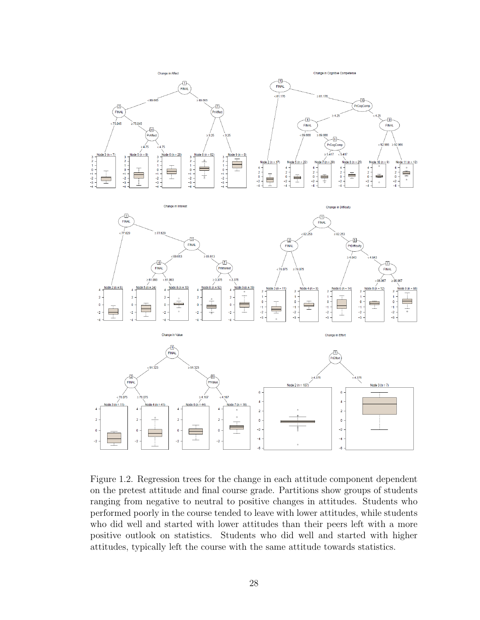

Figure 1.2. Regression trees for the change in each attitude component dependent on the pretest attitude and final course grade. Partitions show groups of students ranging from negative to neutral to positive changes in attitudes. Students who performed poorly in the course tended to leave with lower attitudes, while students who did well and started with lower attitudes than their peers left with a more positive outlook on statistics. Students who did well and started with higher attitudes, typically left the course with the same attitude towards statistics.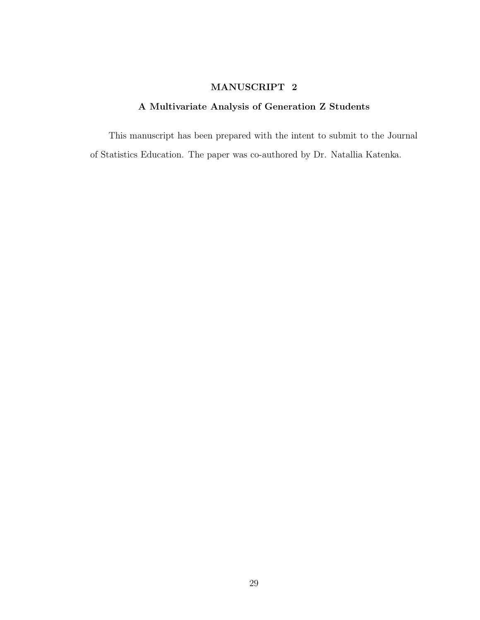# MANUSCRIPT 2

# A Multivariate Analysis of Generation Z Students

This manuscript has been prepared with the intent to submit to the Journal of Statistics Education. The paper was co-authored by Dr. Natallia Katenka.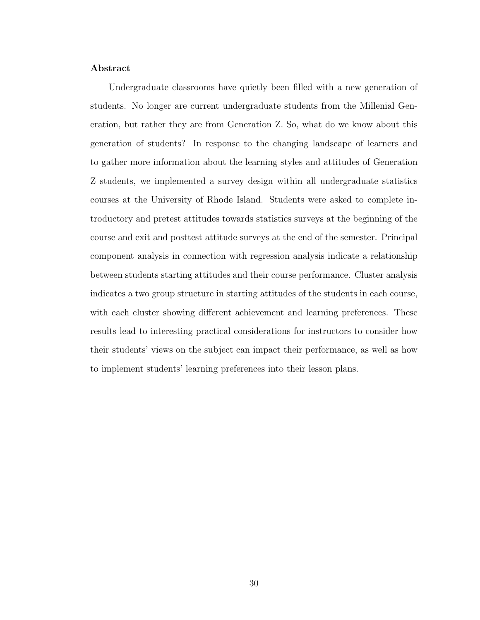### Abstract

Undergraduate classrooms have quietly been filled with a new generation of students. No longer are current undergraduate students from the Millenial Generation, but rather they are from Generation Z. So, what do we know about this generation of students? In response to the changing landscape of learners and to gather more information about the learning styles and attitudes of Generation Z students, we implemented a survey design within all undergraduate statistics courses at the University of Rhode Island. Students were asked to complete introductory and pretest attitudes towards statistics surveys at the beginning of the course and exit and posttest attitude surveys at the end of the semester. Principal component analysis in connection with regression analysis indicate a relationship between students starting attitudes and their course performance. Cluster analysis indicates a two group structure in starting attitudes of the students in each course, with each cluster showing different achievement and learning preferences. These results lead to interesting practical considerations for instructors to consider how their students' views on the subject can impact their performance, as well as how to implement students' learning preferences into their lesson plans.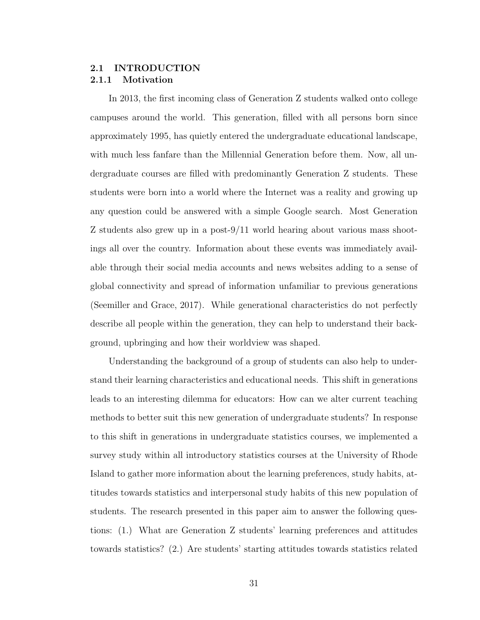## 2.1 INTRODUCTION 2.1.1 Motivation

In 2013, the first incoming class of Generation Z students walked onto college campuses around the world. This generation, filled with all persons born since approximately 1995, has quietly entered the undergraduate educational landscape, with much less fanfare than the Millennial Generation before them. Now, all undergraduate courses are filled with predominantly Generation Z students. These students were born into a world where the Internet was a reality and growing up any question could be answered with a simple Google search. Most Generation Z students also grew up in a post-9/11 world hearing about various mass shootings all over the country. Information about these events was immediately available through their social media accounts and news websites adding to a sense of global connectivity and spread of information unfamiliar to previous generations [\(Seemiller and Grace, 2017\)](#page-71-0). While generational characteristics do not perfectly describe all people within the generation, they can help to understand their background, upbringing and how their worldview was shaped.

Understanding the background of a group of students can also help to understand their learning characteristics and educational needs. This shift in generations leads to an interesting dilemma for educators: How can we alter current teaching methods to better suit this new generation of undergraduate students? In response to this shift in generations in undergraduate statistics courses, we implemented a survey study within all introductory statistics courses at the University of Rhode Island to gather more information about the learning preferences, study habits, attitudes towards statistics and interpersonal study habits of this new population of students. The research presented in this paper aim to answer the following questions: (1.) What are Generation Z students' learning preferences and attitudes towards statistics? (2.) Are students' starting attitudes towards statistics related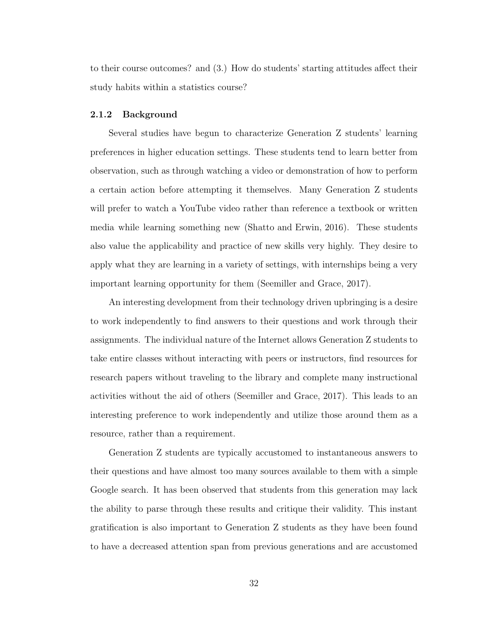to their course outcomes? and (3.) How do students' starting attitudes affect their study habits within a statistics course?

#### <span id="page-45-0"></span>2.1.2 Background

Several studies have begun to characterize Generation Z students' learning preferences in higher education settings. These students tend to learn better from observation, such as through watching a video or demonstration of how to perform a certain action before attempting it themselves. Many Generation Z students will prefer to watch a YouTube video rather than reference a textbook or written media while learning something new [\(Shatto and Erwin, 2016\)](#page-71-1). These students also value the applicability and practice of new skills very highly. They desire to apply what they are learning in a variety of settings, with internships being a very important learning opportunity for them [\(Seemiller and Grace, 2017\)](#page-71-0).

An interesting development from their technology driven upbringing is a desire to work independently to find answers to their questions and work through their assignments. The individual nature of the Internet allows Generation Z students to take entire classes without interacting with peers or instructors, find resources for research papers without traveling to the library and complete many instructional activities without the aid of others [\(Seemiller and Grace, 2017\)](#page-71-0). This leads to an interesting preference to work independently and utilize those around them as a resource, rather than a requirement.

Generation Z students are typically accustomed to instantaneous answers to their questions and have almost too many sources available to them with a simple Google search. It has been observed that students from this generation may lack the ability to parse through these results and critique their validity. This instant gratification is also important to Generation Z students as they have been found to have a decreased attention span from previous generations and are accustomed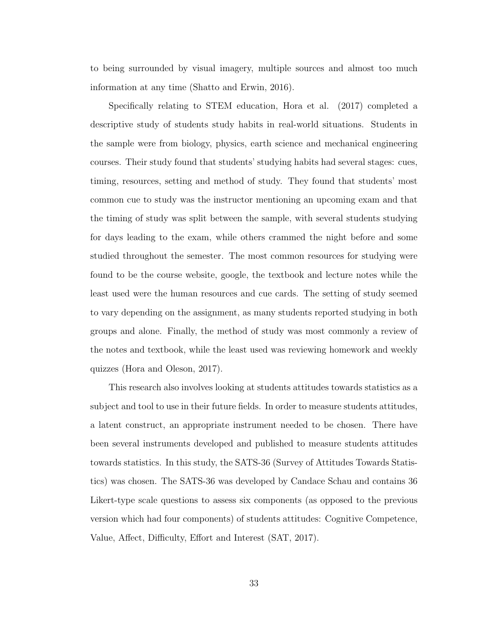to being surrounded by visual imagery, multiple sources and almost too much information at any time [\(Shatto and Erwin, 2016\)](#page-71-1).

Specifically relating to STEM education, Hora et al. (2017) completed a descriptive study of students study habits in real-world situations. Students in the sample were from biology, physics, earth science and mechanical engineering courses. Their study found that students' studying habits had several stages: cues, timing, resources, setting and method of study. They found that students' most common cue to study was the instructor mentioning an upcoming exam and that the timing of study was split between the sample, with several students studying for days leading to the exam, while others crammed the night before and some studied throughout the semester. The most common resources for studying were found to be the course website, google, the textbook and lecture notes while the least used were the human resources and cue cards. The setting of study seemed to vary depending on the assignment, as many students reported studying in both groups and alone. Finally, the method of study was most commonly a review of the notes and textbook, while the least used was reviewing homework and weekly quizzes [\(Hora and Oleson, 2017\)](#page-71-2).

This research also involves looking at students attitudes towards statistics as a subject and tool to use in their future fields. In order to measure students attitudes, a latent construct, an appropriate instrument needed to be chosen. There have been several instruments developed and published to measure students attitudes towards statistics. In this study, the SATS-36 (Survey of Attitudes Towards Statistics) was chosen. The SATS-36 was developed by Candace Schau and contains 36 Likert-type scale questions to assess six components (as opposed to the previous version which had four components) of students attitudes: Cognitive Competence, Value, Affect, Difficulty, Effort and Interest [\(SAT, 2017\)](#page-70-0).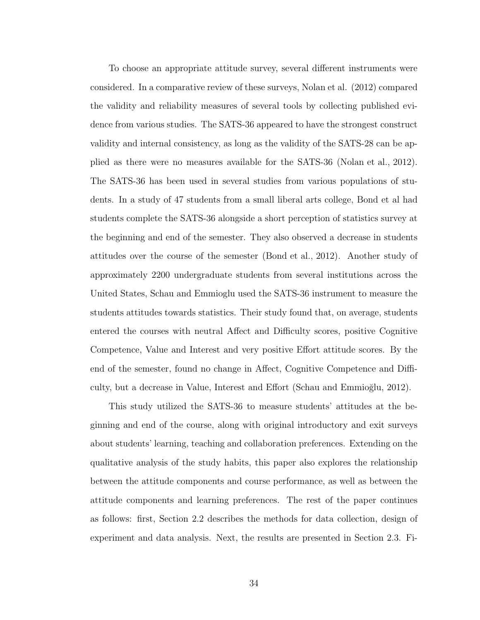To choose an appropriate attitude survey, several different instruments were considered. In a comparative review of these surveys, Nolan et al. (2012) compared the validity and reliability measures of several tools by collecting published evidence from various studies. The SATS-36 appeared to have the strongest construct validity and internal consistency, as long as the validity of the SATS-28 can be applied as there were no measures available for the SATS-36 [\(Nolan et al., 2012\)](#page-71-3). The SATS-36 has been used in several studies from various populations of students. In a study of 47 students from a small liberal arts college, Bond et al had students complete the SATS-36 alongside a short perception of statistics survey at the beginning and end of the semester. They also observed a decrease in students attitudes over the course of the semester [\(Bond et al., 2012\)](#page-71-4). Another study of approximately 2200 undergraduate students from several institutions across the United States, Schau and Emmioglu used the SATS-36 instrument to measure the students attitudes towards statistics. Their study found that, on average, students entered the courses with neutral Affect and Difficulty scores, positive Cognitive Competence, Value and Interest and very positive Effort attitude scores. By the end of the semester, found no change in Affect, Cognitive Competence and Difficulty, but a decrease in Value, Interest and Effort (Schau and Emmioğlu, 2012).

This study utilized the SATS-36 to measure students' attitudes at the beginning and end of the course, along with original introductory and exit surveys about students' learning, teaching and collaboration preferences. Extending on the qualitative analysis of the study habits, this paper also explores the relationship between the attitude components and course performance, as well as between the attitude components and learning preferences. The rest of the paper continues as follows: first, Section [2.2](#page-48-0) describes the methods for data collection, design of experiment and data analysis. Next, the results are presented in Section [2.3.](#page-58-0) Fi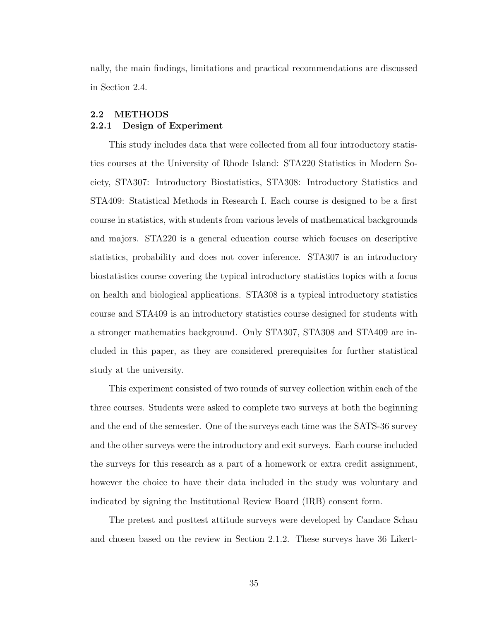nally, the main findings, limitations and practical recommendations are discussed in Section [2.4.](#page-68-0)

# <span id="page-48-0"></span>2.2 METHODS 2.2.1 Design of Experiment

This study includes data that were collected from all four introductory statistics courses at the University of Rhode Island: STA220 Statistics in Modern Society, STA307: Introductory Biostatistics, STA308: Introductory Statistics and STA409: Statistical Methods in Research I. Each course is designed to be a first course in statistics, with students from various levels of mathematical backgrounds and majors. STA220 is a general education course which focuses on descriptive statistics, probability and does not cover inference. STA307 is an introductory biostatistics course covering the typical introductory statistics topics with a focus on health and biological applications. STA308 is a typical introductory statistics course and STA409 is an introductory statistics course designed for students with a stronger mathematics background. Only STA307, STA308 and STA409 are included in this paper, as they are considered prerequisites for further statistical study at the university.

This experiment consisted of two rounds of survey collection within each of the three courses. Students were asked to complete two surveys at both the beginning and the end of the semester. One of the surveys each time was the SATS-36 survey and the other surveys were the introductory and exit surveys. Each course included the surveys for this research as a part of a homework or extra credit assignment, however the choice to have their data included in the study was voluntary and indicated by signing the Institutional Review Board (IRB) consent form.

The pretest and posttest attitude surveys were developed by Candace Schau and chosen based on the review in Section [2.1.2.](#page-45-0) These surveys have 36 Likert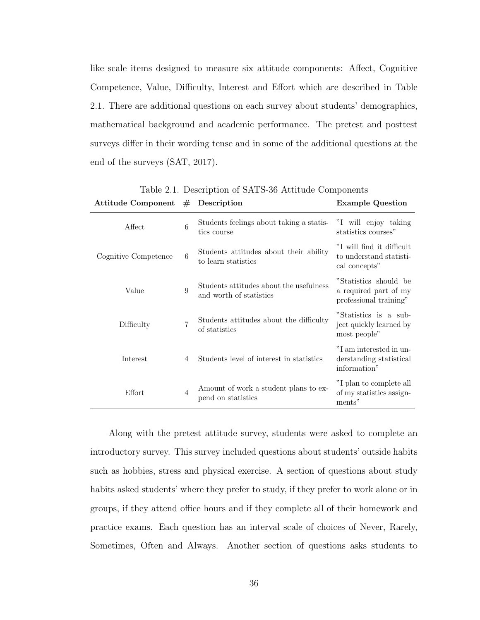like scale items designed to measure six attitude components: Affect, Cognitive Competence, Value, Difficulty, Interest and Effort which are described in Table [2.1.](#page-49-0) There are additional questions on each survey about students' demographics, mathematical background and academic performance. The pretest and posttest surveys differ in their wording tense and in some of the additional questions at the end of the surveys [\(SAT, 2017\)](#page-70-0).

| Attitude Component   | #              | Description                                                        | <b>Example Question</b>                                                  |
|----------------------|----------------|--------------------------------------------------------------------|--------------------------------------------------------------------------|
| Affect               | 6              | Students feelings about taking a statis-<br>tics course            | "I will enjoy taking<br>statistics courses"                              |
| Cognitive Competence | 6              | Students attitudes about their ability<br>to learn statistics      | "I will find it difficult<br>to understand statisti-<br>cal concepts"    |
| Value                | 9              | Students attitudes about the usefulness<br>and worth of statistics | "Statistics should be<br>a required part of my<br>professional training" |
| Difficulty           | 7              | Students attitudes about the difficulty<br>of statistics           | "Statistics is a sub-<br>ject quickly learned by<br>most people"         |
| Interest             | 4              | Students level of interest in statistics                           | "I am interested in un-<br>derstanding statistical<br>information"       |
| Effort               | $\overline{4}$ | Amount of work a student plans to ex-<br>pend on statistics        | "I plan to complete all<br>of my statistics assign-<br>ments"            |

<span id="page-49-0"></span>Table 2.1. Description of SATS-36 Attitude Components

Along with the pretest attitude survey, students were asked to complete an introductory survey. This survey included questions about students' outside habits such as hobbies, stress and physical exercise. A section of questions about study habits asked students' where they prefer to study, if they prefer to work alone or in groups, if they attend office hours and if they complete all of their homework and practice exams. Each question has an interval scale of choices of Never, Rarely, Sometimes, Often and Always. Another section of questions asks students to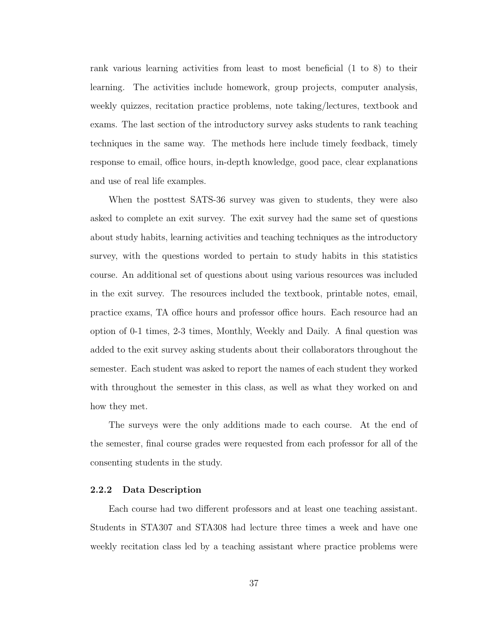rank various learning activities from least to most beneficial (1 to 8) to their learning. The activities include homework, group projects, computer analysis, weekly quizzes, recitation practice problems, note taking/lectures, textbook and exams. The last section of the introductory survey asks students to rank teaching techniques in the same way. The methods here include timely feedback, timely response to email, office hours, in-depth knowledge, good pace, clear explanations and use of real life examples.

When the posttest SATS-36 survey was given to students, they were also asked to complete an exit survey. The exit survey had the same set of questions about study habits, learning activities and teaching techniques as the introductory survey, with the questions worded to pertain to study habits in this statistics course. An additional set of questions about using various resources was included in the exit survey. The resources included the textbook, printable notes, email, practice exams, TA office hours and professor office hours. Each resource had an option of 0-1 times, 2-3 times, Monthly, Weekly and Daily. A final question was added to the exit survey asking students about their collaborators throughout the semester. Each student was asked to report the names of each student they worked with throughout the semester in this class, as well as what they worked on and how they met.

The surveys were the only additions made to each course. At the end of the semester, final course grades were requested from each professor for all of the consenting students in the study.

#### 2.2.2 Data Description

Each course had two different professors and at least one teaching assistant. Students in STA307 and STA308 had lecture three times a week and have one weekly recitation class led by a teaching assistant where practice problems were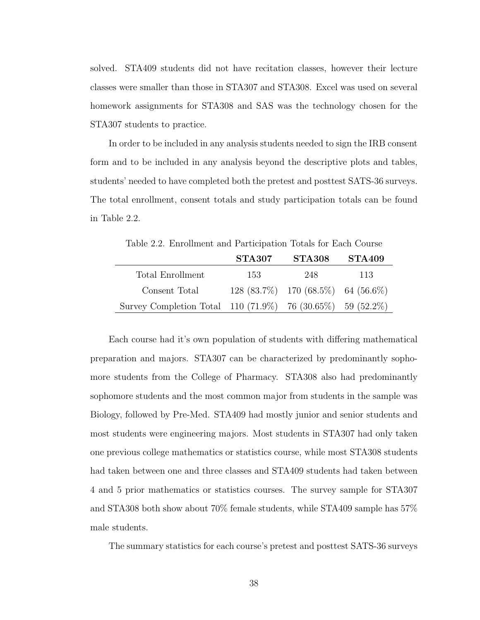solved. STA409 students did not have recitation classes, however their lecture classes were smaller than those in STA307 and STA308. Excel was used on several homework assignments for STA308 and SAS was the technology chosen for the STA307 students to practice.

In order to be included in any analysis students needed to sign the IRB consent form and to be included in any analysis beyond the descriptive plots and tables, students' needed to have completed both the pretest and posttest SATS-36 surveys. The total enrollment, consent totals and study participation totals can be found in Table [2.2.](#page-51-0)

<span id="page-51-0"></span>Table 2.2. Enrollment and Participation Totals for Each Course

|                                                            | <b>STA307</b> | <b>STA308</b>                        | <b>STA409</b> |
|------------------------------------------------------------|---------------|--------------------------------------|---------------|
| Total Enrollment                                           | -153          | 248                                  | 113           |
| Consent Total                                              |               | $128(83.7\%)$ 170 (68.5%) 64 (56.6%) |               |
| Survey Completion Total 110 (71.9%) 76 (30.65%) 59 (52.2%) |               |                                      |               |

Each course had it's own population of students with differing mathematical preparation and majors. STA307 can be characterized by predominantly sophomore students from the College of Pharmacy. STA308 also had predominantly sophomore students and the most common major from students in the sample was Biology, followed by Pre-Med. STA409 had mostly junior and senior students and most students were engineering majors. Most students in STA307 had only taken one previous college mathematics or statistics course, while most STA308 students had taken between one and three classes and STA409 students had taken between 4 and 5 prior mathematics or statistics courses. The survey sample for STA307 and STA308 both show about 70% female students, while STA409 sample has 57% male students.

The summary statistics for each course's pretest and posttest SATS-36 surveys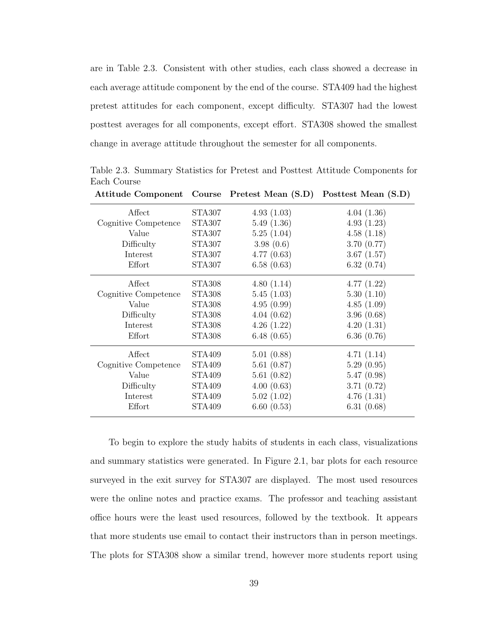are in Table [2.3.](#page-52-0) Consistent with other studies, each class showed a decrease in each average attitude component by the end of the course. STA409 had the highest pretest attitudes for each component, except difficulty. STA307 had the lowest posttest averages for all components, except effort. STA308 showed the smallest change in average attitude throughout the semester for all components.

|                      |               |            | Attitude Component Course Pretest Mean (S.D) Posttest Mean (S.D) |
|----------------------|---------------|------------|------------------------------------------------------------------|
| Affect               | STA307        | 4.93(1.03) | 4.04(1.36)                                                       |
| Cognitive Competence | STA307        | 5.49(1.36) | 4.93(1.23)                                                       |
| Value                | STA307        | 5.25(1.04) | 4.58(1.18)                                                       |
| Difficulty           | STA307        | 3.98(0.6)  | 3.70(0.77)                                                       |
| Interest             | STA307        | 4.77(0.63) | 3.67(1.57)                                                       |
| Effort               | <b>STA307</b> | 6.58(0.63) | 6.32(0.74)                                                       |
| Affect               | STA308        | 4.80(1.14) | 4.77(1.22)                                                       |
| Cognitive Competence | STA308        | 5.45(1.03) | 5.30(1.10)                                                       |
| Value                | STA308        | 4.95(0.99) | 4.85(1.09)                                                       |
| Difficulty           | <b>STA308</b> | 4.04(0.62) | 3.96(0.68)                                                       |
| Interest             | <b>STA308</b> | 4.26(1.22) | 4.20(1.31)                                                       |
| Effort               | <b>STA308</b> | 6.48(0.65) | 6.36(0.76)                                                       |
| Affect               | STA409        | 5.01(0.88) | 4.71(1.14)                                                       |
| Cognitive Competence | STA409        | 5.61(0.87) | 5.29(0.95)                                                       |
| Value                | STA409        | 5.61(0.82) | 5.47(0.98)                                                       |
| Difficulty           | STA409        | 4.00(0.63) | 3.71(0.72)                                                       |
| Interest             | <b>STA409</b> | 5.02(1.02) | 4.76(1.31)                                                       |
| Effort               | <b>STA409</b> | 6.60(0.53) | 6.31(0.68)                                                       |

<span id="page-52-0"></span>Table 2.3. Summary Statistics for Pretest and Posttest Attitude Components for Each Course

To begin to explore the study habits of students in each class, visualizations and summary statistics were generated. In Figure [2.1,](#page-53-0) bar plots for each resource surveyed in the exit survey for STA307 are displayed. The most used resources were the online notes and practice exams. The professor and teaching assistant office hours were the least used resources, followed by the textbook. It appears that more students use email to contact their instructors than in person meetings. The plots for STA308 show a similar trend, however more students report using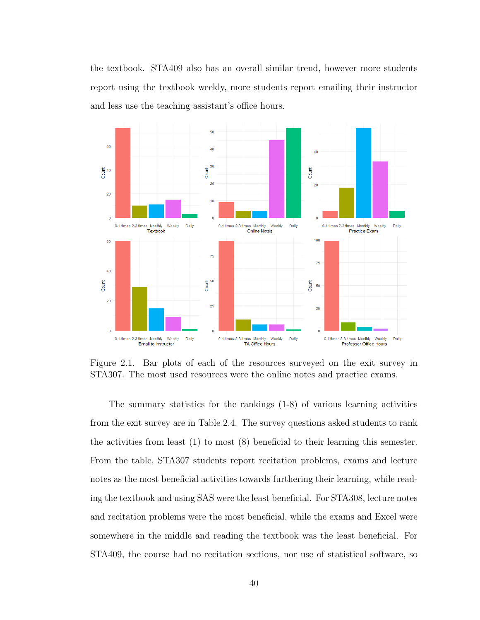the textbook. STA409 also has an overall similar trend, however more students report using the textbook weekly, more students report emailing their instructor and less use the teaching assistant's office hours.



<span id="page-53-0"></span>Figure 2.1. Bar plots of each of the resources surveyed on the exit survey in STA307. The most used resources were the online notes and practice exams.

The summary statistics for the rankings (1-8) of various learning activities from the exit survey are in Table [2.4.](#page-54-0) The survey questions asked students to rank the activities from least (1) to most (8) beneficial to their learning this semester. From the table, STA307 students report recitation problems, exams and lecture notes as the most beneficial activities towards furthering their learning, while reading the textbook and using SAS were the least beneficial. For STA308, lecture notes and recitation problems were the most beneficial, while the exams and Excel were somewhere in the middle and reading the textbook was the least beneficial. For STA409, the course had no recitation sections, nor use of statistical software, so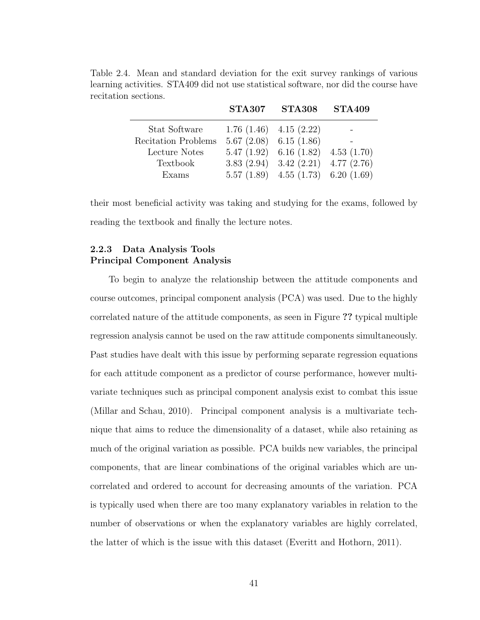<span id="page-54-0"></span>

|                            | <b>STA307</b> | $\rm STA308$                              | <b>STA409</b> |
|----------------------------|---------------|-------------------------------------------|---------------|
| Stat Software              |               | $1.76(1.46)$ $4.15(2.22)$                 |               |
| <b>Recitation Problems</b> |               | $5.67(2.08)$ 6.15 (1.86)                  |               |
| Lecture Notes              |               | $5.47(1.92)$ 6.16 (1.82) 4.53 (1.70)      |               |
| Textbook                   |               | 3.83 $(2.94)$ 3.42 $(2.21)$ 4.77 $(2.76)$ |               |
| Exams                      |               | $5.57(1.89)$ $4.55(1.73)$ $6.20(1.69)$    |               |

Table 2.4. Mean and standard deviation for the exit survey rankings of various learning activities. STA409 did not use statistical software, nor did the course have recitation sections.

their most beneficial activity was taking and studying for the exams, followed by reading the textbook and finally the lecture notes.

## 2.2.3 Data Analysis Tools Principal Component Analysis

To begin to analyze the relationship between the attitude components and course outcomes, principal component analysis (PCA) was used. Due to the highly correlated nature of the attitude components, as seen in Figure ?? typical multiple regression analysis cannot be used on the raw attitude components simultaneously. Past studies have dealt with this issue by performing separate regression equations for each attitude component as a predictor of course performance, however multivariate techniques such as principal component analysis exist to combat this issue [\(Millar and Schau, 2010\)](#page-71-6). Principal component analysis is a multivariate technique that aims to reduce the dimensionality of a dataset, while also retaining as much of the original variation as possible. PCA builds new variables, the principal components, that are linear combinations of the original variables which are uncorrelated and ordered to account for decreasing amounts of the variation. PCA is typically used when there are too many explanatory variables in relation to the number of observations or when the explanatory variables are highly correlated, the latter of which is the issue with this dataset [\(Everitt and Hothorn, 2011\)](#page-71-7).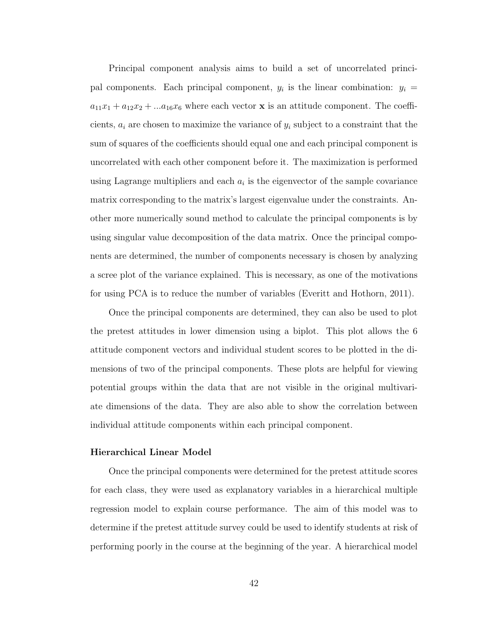Principal component analysis aims to build a set of uncorrelated principal components. Each principal component,  $y_i$  is the linear combination:  $y_i =$  $a_{11}x_1 + a_{12}x_2 + \ldots a_{16}x_6$  where each vector **x** is an attitude component. The coefficients,  $a_i$  are chosen to maximize the variance of  $y_i$  subject to a constraint that the sum of squares of the coefficients should equal one and each principal component is uncorrelated with each other component before it. The maximization is performed using Lagrange multipliers and each  $a_i$  is the eigenvector of the sample covariance matrix corresponding to the matrix's largest eigenvalue under the constraints. Another more numerically sound method to calculate the principal components is by using singular value decomposition of the data matrix. Once the principal components are determined, the number of components necessary is chosen by analyzing a scree plot of the variance explained. This is necessary, as one of the motivations for using PCA is to reduce the number of variables [\(Everitt and Hothorn, 2011\)](#page-71-7).

Once the principal components are determined, they can also be used to plot the pretest attitudes in lower dimension using a biplot. This plot allows the 6 attitude component vectors and individual student scores to be plotted in the dimensions of two of the principal components. These plots are helpful for viewing potential groups within the data that are not visible in the original multivariate dimensions of the data. They are also able to show the correlation between individual attitude components within each principal component.

#### Hierarchical Linear Model

Once the principal components were determined for the pretest attitude scores for each class, they were used as explanatory variables in a hierarchical multiple regression model to explain course performance. The aim of this model was to determine if the pretest attitude survey could be used to identify students at risk of performing poorly in the course at the beginning of the year. A hierarchical model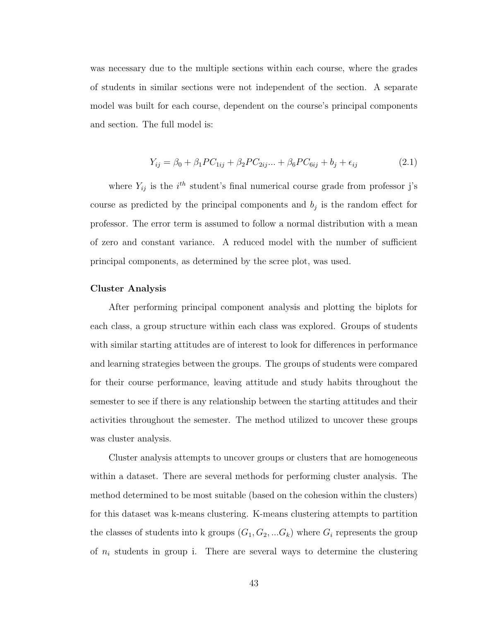was necessary due to the multiple sections within each course, where the grades of students in similar sections were not independent of the section. A separate model was built for each course, dependent on the course's principal components and section. The full model is:

$$
Y_{ij} = \beta_0 + \beta_1 PC_{1ij} + \beta_2 PC_{2ij} \dots + \beta_6 PC_{6ij} + b_j + \epsilon_{ij}
$$
 (2.1)

where  $Y_{ij}$  is the i<sup>th</sup> student's final numerical course grade from professor j's course as predicted by the principal components and  $b_j$  is the random effect for professor. The error term is assumed to follow a normal distribution with a mean of zero and constant variance. A reduced model with the number of sufficient principal components, as determined by the scree plot, was used.

#### Cluster Analysis

After performing principal component analysis and plotting the biplots for each class, a group structure within each class was explored. Groups of students with similar starting attitudes are of interest to look for differences in performance and learning strategies between the groups. The groups of students were compared for their course performance, leaving attitude and study habits throughout the semester to see if there is any relationship between the starting attitudes and their activities throughout the semester. The method utilized to uncover these groups was cluster analysis.

Cluster analysis attempts to uncover groups or clusters that are homogeneous within a dataset. There are several methods for performing cluster analysis. The method determined to be most suitable (based on the cohesion within the clusters) for this dataset was k-means clustering. K-means clustering attempts to partition the classes of students into k groups  $(G_1, G_2, ... G_k)$  where  $G_i$  represents the group of  $n_i$  students in group i. There are several ways to determine the clustering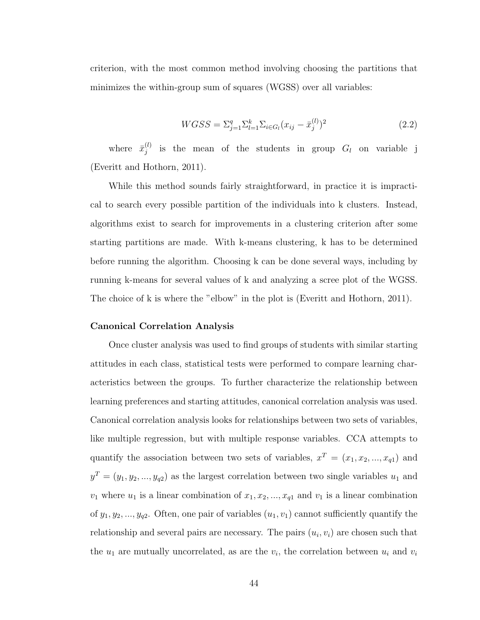criterion, with the most common method involving choosing the partitions that minimizes the within-group sum of squares (WGSS) over all variables:

$$
WGSS = \sum_{j=1}^{q} \sum_{l=1}^{k} \sum_{i \in G_l} (x_{ij} - \bar{x}_j^{(l)})^2
$$
\n(2.2)

where  $\bar{x}_i^{(l)}$  $j_j^{(l)}$  is the mean of the students in group  $G_l$  on variable j [\(Everitt and Hothorn, 2011\)](#page-71-7).

While this method sounds fairly straightforward, in practice it is impractical to search every possible partition of the individuals into k clusters. Instead, algorithms exist to search for improvements in a clustering criterion after some starting partitions are made. With k-means clustering, k has to be determined before running the algorithm. Choosing k can be done several ways, including by running k-means for several values of k and analyzing a scree plot of the WGSS. The choice of k is where the "elbow" in the plot is [\(Everitt and Hothorn, 2011\)](#page-71-7).

#### Canonical Correlation Analysis

Once cluster analysis was used to find groups of students with similar starting attitudes in each class, statistical tests were performed to compare learning characteristics between the groups. To further characterize the relationship between learning preferences and starting attitudes, canonical correlation analysis was used. Canonical correlation analysis looks for relationships between two sets of variables, like multiple regression, but with multiple response variables. CCA attempts to quantify the association between two sets of variables,  $x^T = (x_1, x_2, ..., x_{q1})$  and  $y^T = (y_1, y_2, ..., y_{q2})$  as the largest correlation between two single variables  $u_1$  and  $v_1$  where  $u_1$  is a linear combination of  $x_1, x_2, ..., x_{q1}$  and  $v_1$  is a linear combination of  $y_1, y_2, ..., y_{q2}$ . Often, one pair of variables  $(u_1, v_1)$  cannot sufficiently quantify the relationship and several pairs are necessary. The pairs  $(u_i, v_i)$  are chosen such that the  $u_1$  are mutually uncorrelated, as are the  $v_i$ , the correlation between  $u_i$  and  $v_i$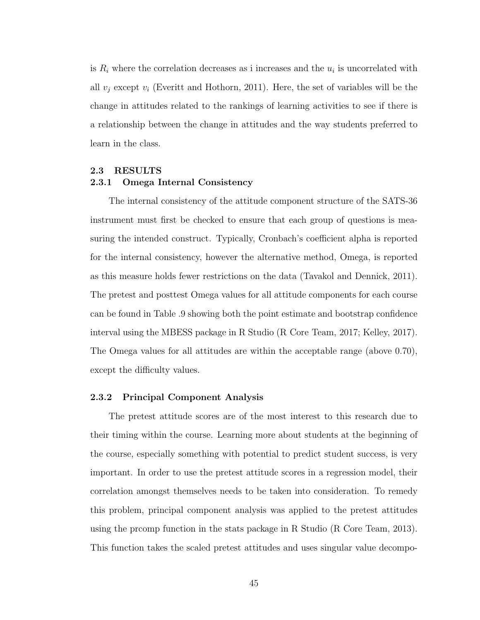is  $R_i$  where the correlation decreases as i increases and the  $u_i$  is uncorrelated with all  $v_i$  except  $v_i$  [\(Everitt and Hothorn, 2011\)](#page-71-7). Here, the set of variables will be the change in attitudes related to the rankings of learning activities to see if there is a relationship between the change in attitudes and the way students preferred to learn in the class.

# <span id="page-58-0"></span>2.3 RESULTS 2.3.1 Omega Internal Consistency

The internal consistency of the attitude component structure of the SATS-36 instrument must first be checked to ensure that each group of questions is measuring the intended construct. Typically, Cronbach's coefficient alpha is reported for the internal consistency, however the alternative method, Omega, is reported as this measure holds fewer restrictions on the data [\(Tavakol and Dennick, 2011\)](#page-71-8). The pretest and posttest Omega values for all attitude components for each course can be found in Table [.9](#page-79-0) showing both the point estimate and bootstrap confidence interval using the MBESS package in R Studio [\(R Core Team, 2017;](#page-71-9) [Kelley, 2017\)](#page-71-10). The Omega values for all attitudes are within the acceptable range (above 0.70), except the difficulty values.

#### 2.3.2 Principal Component Analysis

The pretest attitude scores are of the most interest to this research due to their timing within the course. Learning more about students at the beginning of the course, especially something with potential to predict student success, is very important. In order to use the pretest attitude scores in a regression model, their correlation amongst themselves needs to be taken into consideration. To remedy this problem, principal component analysis was applied to the pretest attitudes using the prcomp function in the stats package in R Studio [\(R Core Team, 2013\)](#page-71-11). This function takes the scaled pretest attitudes and uses singular value decompo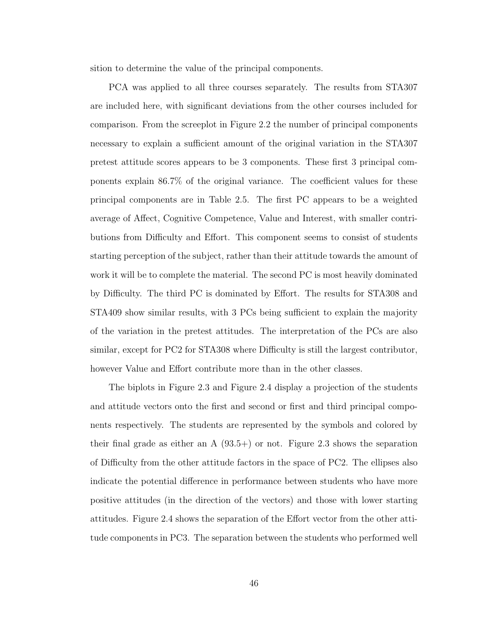sition to determine the value of the principal components.

PCA was applied to all three courses separately. The results from STA307 are included here, with significant deviations from the other courses included for comparison. From the screeplot in Figure [2.2](#page-60-0) the number of principal components necessary to explain a sufficient amount of the original variation in the STA307 pretest attitude scores appears to be 3 components. These first 3 principal components explain 86.7% of the original variance. The coefficient values for these principal components are in Table [2.5.](#page-60-1) The first PC appears to be a weighted average of Affect, Cognitive Competence, Value and Interest, with smaller contributions from Difficulty and Effort. This component seems to consist of students starting perception of the subject, rather than their attitude towards the amount of work it will be to complete the material. The second PC is most heavily dominated by Difficulty. The third PC is dominated by Effort. The results for STA308 and STA409 show similar results, with 3 PCs being sufficient to explain the majority of the variation in the pretest attitudes. The interpretation of the PCs are also similar, except for PC2 for STA308 where Difficulty is still the largest contributor, however Value and Effort contribute more than in the other classes.

The biplots in Figure [2.3](#page-61-0) and Figure [2.4](#page-62-0) display a projection of the students and attitude vectors onto the first and second or first and third principal components respectively. The students are represented by the symbols and colored by their final grade as either an  $A(93.5+)$  or not. Figure [2.3](#page-61-0) shows the separation of Difficulty from the other attitude factors in the space of PC2. The ellipses also indicate the potential difference in performance between students who have more positive attitudes (in the direction of the vectors) and those with lower starting attitudes. Figure [2.4](#page-62-0) shows the separation of the Effort vector from the other attitude components in PC3. The separation between the students who performed well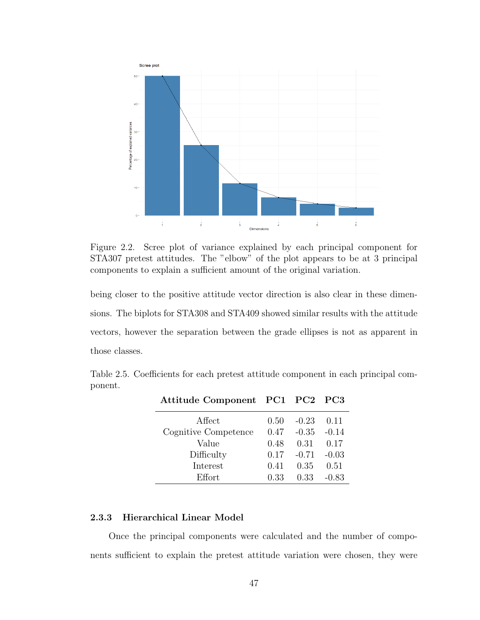

<span id="page-60-0"></span>Figure 2.2. Scree plot of variance explained by each principal component for STA307 pretest attitudes. The "elbow" of the plot appears to be at 3 principal components to explain a sufficient amount of the original variation.

being closer to the positive attitude vector direction is also clear in these dimensions. The biplots for STA308 and STA409 showed similar results with the attitude vectors, however the separation between the grade ellipses is not as apparent in those classes.

Table 2.5. Coefficients for each pretest attitude component in each principal component.

<span id="page-60-1"></span>

| Attitude Component PC1 PC2 PC3 |      |                |         |
|--------------------------------|------|----------------|---------|
| Affect                         | 0.50 | $-0.23$        | 0.11    |
| Cognitive Competence           | 0.47 | $-0.35 - 0.14$ |         |
| Value                          | 0.48 | 0.31           | 0.17    |
| Difficulty                     | 0.17 | $-0.71 - 0.03$ |         |
| Interest                       | 0.41 | 0.35           | 0.51    |
| Effort                         | 0.33 | 0.33           | $-0.83$ |

### 2.3.3 Hierarchical Linear Model

Once the principal components were calculated and the number of components sufficient to explain the pretest attitude variation were chosen, they were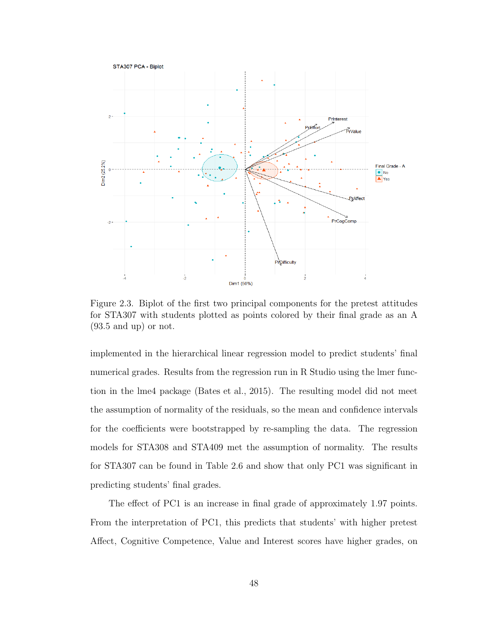

<span id="page-61-0"></span>Figure 2.3. Biplot of the first two principal components for the pretest attitudes for STA307 with students plotted as points colored by their final grade as an A (93.5 and up) or not.

implemented in the hierarchical linear regression model to predict students' final numerical grades. Results from the regression run in R Studio using the lmer function in the lme4 package [\(Bates et al., 2015\)](#page-71-12). The resulting model did not meet the assumption of normality of the residuals, so the mean and confidence intervals for the coefficients were bootstrapped by re-sampling the data. The regression models for STA308 and STA409 met the assumption of normality. The results for STA307 can be found in Table [2.6](#page-62-1) and show that only PC1 was significant in predicting students' final grades.

The effect of PC1 is an increase in final grade of approximately 1.97 points. From the interpretation of PC1, this predicts that students' with higher pretest Affect, Cognitive Competence, Value and Interest scores have higher grades, on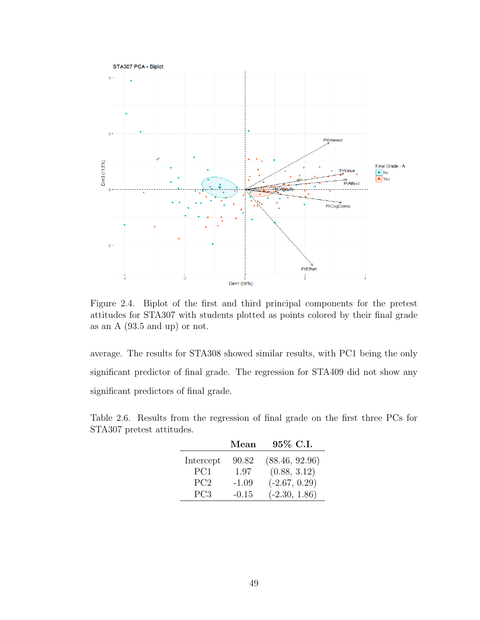

<span id="page-62-0"></span>Figure 2.4. Biplot of the first and third principal components for the pretest attitudes for STA307 with students plotted as points colored by their final grade as an A (93.5 and up) or not.

average. The results for STA308 showed similar results, with PC1 being the only significant predictor of final grade. The regression for STA409 did not show any significant predictors of final grade.

<span id="page-62-1"></span>Table 2.6. Results from the regression of final grade on the first three PCs for STA307 pretest attitudes.

|                 | Mean    | 95\% C.I.       |
|-----------------|---------|-----------------|
| Intercept       | 90.82   | (88.46, 92.96)  |
| PC <sub>1</sub> | 1.97    | (0.88, 3.12)    |
| PC <sub>2</sub> | $-1.09$ | $(-2.67, 0.29)$ |
| PC <sub>3</sub> | $-0.15$ | $(-2.30, 1.86)$ |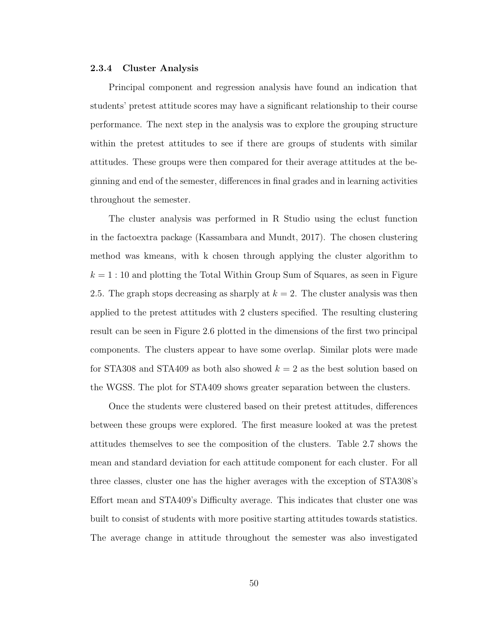#### 2.3.4 Cluster Analysis

Principal component and regression analysis have found an indication that students' pretest attitude scores may have a significant relationship to their course performance. The next step in the analysis was to explore the grouping structure within the pretest attitudes to see if there are groups of students with similar attitudes. These groups were then compared for their average attitudes at the beginning and end of the semester, differences in final grades and in learning activities throughout the semester.

The cluster analysis was performed in R Studio using the eclust function in the factoextra package [\(Kassambara and Mundt, 2017\)](#page-71-13). The chosen clustering method was kmeans, with k chosen through applying the cluster algorithm to  $k = 1:10$  and plotting the Total Within Group Sum of Squares, as seen in Figure [2.5.](#page-64-0) The graph stops decreasing as sharply at  $k = 2$ . The cluster analysis was then applied to the pretest attitudes with 2 clusters specified. The resulting clustering result can be seen in Figure [2.6](#page-64-1) plotted in the dimensions of the first two principal components. The clusters appear to have some overlap. Similar plots were made for STA308 and STA409 as both also showed  $k = 2$  as the best solution based on the WGSS. The plot for STA409 shows greater separation between the clusters.

Once the students were clustered based on their pretest attitudes, differences between these groups were explored. The first measure looked at was the pretest attitudes themselves to see the composition of the clusters. Table [2.7](#page-65-0) shows the mean and standard deviation for each attitude component for each cluster. For all three classes, cluster one has the higher averages with the exception of STA308's Effort mean and STA409's Difficulty average. This indicates that cluster one was built to consist of students with more positive starting attitudes towards statistics. The average change in attitude throughout the semester was also investigated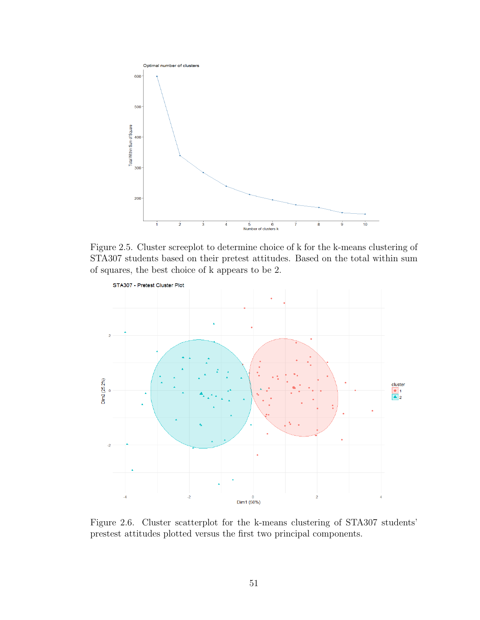

<span id="page-64-0"></span>Figure 2.5. Cluster screeplot to determine choice of k for the k-means clustering of STA307 students based on their pretest attitudes. Based on the total within sum of squares, the best choice of k appears to be 2.



<span id="page-64-1"></span>Figure 2.6. Cluster scatterplot for the k-means clustering of STA307 students' prestest attitudes plotted versus the first two principal components.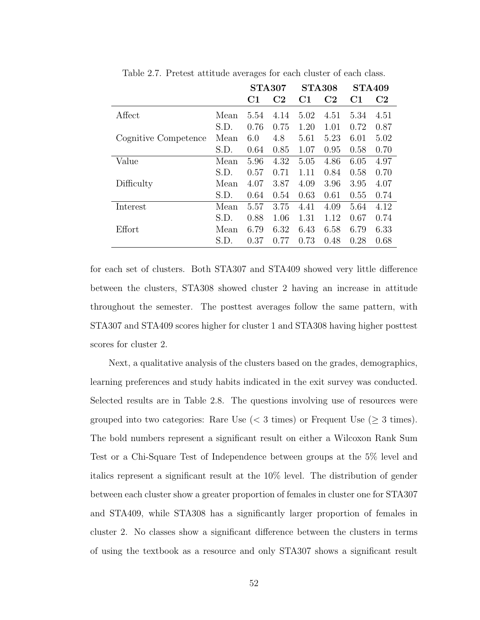|                      |      | <b>STA307</b> |                | <b>STA308</b> |                | <b>STA409</b> |                |
|----------------------|------|---------------|----------------|---------------|----------------|---------------|----------------|
|                      |      | C1            | C <sub>2</sub> | $\rm C1$      | C <sub>2</sub> | C1            | C <sub>2</sub> |
| Affect               | Mean | 5.54          | 4.14           | 5.02          | 4.51           | 5.34          | 4.51           |
|                      | S.D. | 0.76          | 0.75           | 1.20          | 1.01           | 0.72          | 0.87           |
| Cognitive Competence | Mean | 6.0           | 4.8            | 5.61          | 5.23           | 6.01          | 5.02           |
|                      | S.D. | 0.64          | 0.85           | 1.07          | 0.95           | 0.58          | 0.70           |
| Value                | Mean | 5.96          | 4.32           | 5.05          | 4.86           | 6.05          | 4.97           |
|                      | S.D. | 0.57          | 0.71           | 1.11          | 0.84           | 0.58          | 0.70           |
| Difficulty           | Mean | 4.07          | 3.87           | 4.09          | 3.96           | 3.95          | 4.07           |
|                      | S.D. | 0.64          | 0.54           | 0.63          | 0.61           | 0.55          | 0.74           |
| Interest             | Mean | 5.57          | 3.75           | 4.41          | 4.09           | 5.64          | 4.12           |
|                      | S.D. | 0.88          | 1.06           | 1.31          | 1.12           | 0.67          | 0.74           |
| Effort               | Mean | 6.79          | 6.32           | 6.43          | 6.58           | 6.79          | 6.33           |
|                      | S.D. | 0.37          | 0.77           | 0.73          | 0.48           | 0.28          | 0.68           |

<span id="page-65-0"></span>Table 2.7. Pretest attitude averages for each cluster of each class.

for each set of clusters. Both STA307 and STA409 showed very little difference between the clusters, STA308 showed cluster 2 having an increase in attitude throughout the semester. The posttest averages follow the same pattern, with STA307 and STA409 scores higher for cluster 1 and STA308 having higher posttest scores for cluster 2.

Next, a qualitative analysis of the clusters based on the grades, demographics, learning preferences and study habits indicated in the exit survey was conducted. Selected results are in Table [2.8.](#page-66-0) The questions involving use of resources were grouped into two categories: Rare Use  $(< 3 \times$  imes) or Frequent Use  $(\geq 3 \times)$ . The bold numbers represent a significant result on either a Wilcoxon Rank Sum Test or a Chi-Square Test of Independence between groups at the 5% level and italics represent a significant result at the 10% level. The distribution of gender between each cluster show a greater proportion of females in cluster one for STA307 and STA409, while STA308 has a significantly larger proportion of females in cluster 2. No classes show a significant difference between the clusters in terms of using the textbook as a resource and only STA307 shows a significant result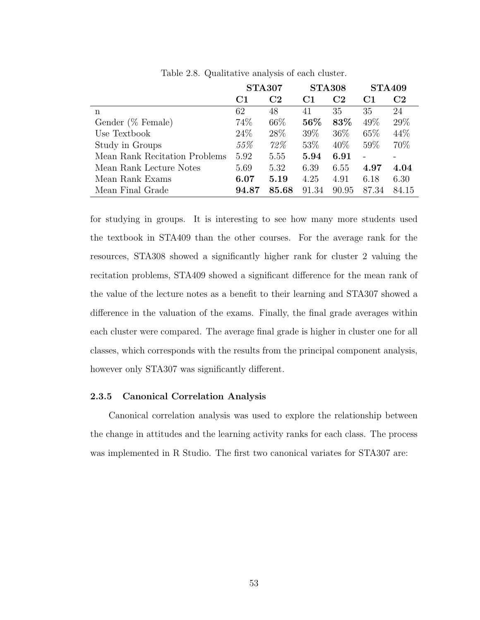|                               | <b>STA307</b>  |                | <b>STA308</b>  |                | <b>STA409</b>  |                |
|-------------------------------|----------------|----------------|----------------|----------------|----------------|----------------|
|                               | C <sub>1</sub> | C <sub>2</sub> | C <sub>1</sub> | C <sub>2</sub> | C <sub>1</sub> | C <sub>2</sub> |
| n                             | 62             | 48             | 41             | 35             | 35             | 24             |
| Gender (% Female)             | 74\%           | 66\%           | 56%            | 83%            | $49\%$         | 29\%           |
| Use Textbook                  | 24\%           | 28\%           | 39\%           | 36\%           | 65\%           | 44\%           |
| Study in Groups               | 55%            | 72%            | $53\%$         | $40\%$         | 59%            | 70\%           |
| Mean Rank Recitation Problems | 5.92           | 5.55           | 5.94           | 6.91           |                |                |
| Mean Rank Lecture Notes       | 5.69           | 5.32           | 6.39           | 6.55           | 4.97           | 4.04           |
| Mean Rank Exams               | 6.07           | 5.19           | 4.25           | 4.91           | 6.18           | 6.30           |
| Mean Final Grade              | 94.87          | 85.68          | 91.34          | 90.95          | 87.34          | 84.15          |

<span id="page-66-0"></span>Table 2.8. Qualitative analysis of each cluster.

for studying in groups. It is interesting to see how many more students used the textbook in STA409 than the other courses. For the average rank for the resources, STA308 showed a significantly higher rank for cluster 2 valuing the recitation problems, STA409 showed a significant difference for the mean rank of the value of the lecture notes as a benefit to their learning and STA307 showed a difference in the valuation of the exams. Finally, the final grade averages within each cluster were compared. The average final grade is higher in cluster one for all classes, which corresponds with the results from the principal component analysis, however only STA307 was significantly different.

#### 2.3.5 Canonical Correlation Analysis

Canonical correlation analysis was used to explore the relationship between the change in attitudes and the learning activity ranks for each class. The process was implemented in R Studio. The first two canonical variates for STA307 are: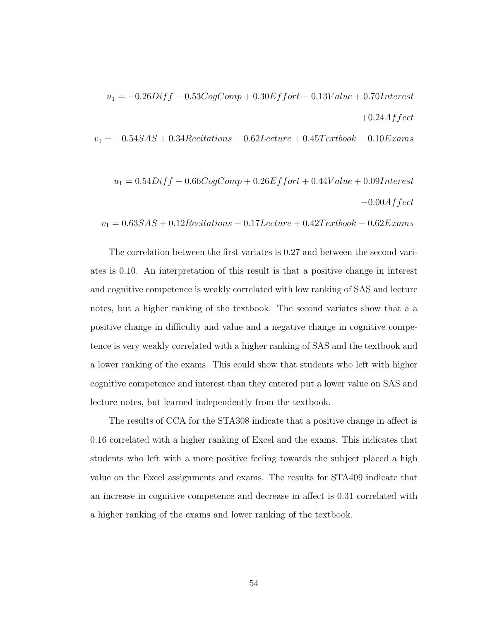$u_1 = -0.26Diff + 0.53CogComp + 0.30Effort - 0.13Value + 0.70Interest \label{eq:u1}$  $+0.24$ Affect

 $v_1 = -0.54 SAS + 0.34 Recitations - 0.62 Lecture + 0.45 Textbook - 0.10 Exams$ 

$$
u_1 = 0.54Diff - 0.66CogComp + 0.26Effort + 0.44Value + 0.09Interest
$$
  

$$
-0.00Affect
$$

 $v_1 = 0.63SAS + 0.12Recitations - 0.17Lecture + 0.42Textbook - 0.62Examples$ 

The correlation between the first variates is 0.27 and between the second variates is 0.10. An interpretation of this result is that a positive change in interest and cognitive competence is weakly correlated with low ranking of SAS and lecture notes, but a higher ranking of the textbook. The second variates show that a a positive change in difficulty and value and a negative change in cognitive competence is very weakly correlated with a higher ranking of SAS and the textbook and a lower ranking of the exams. This could show that students who left with higher cognitive competence and interest than they entered put a lower value on SAS and lecture notes, but learned independently from the textbook.

The results of CCA for the STA308 indicate that a positive change in affect is 0.16 correlated with a higher ranking of Excel and the exams. This indicates that students who left with a more positive feeling towards the subject placed a high value on the Excel assignments and exams. The results for STA409 indicate that an increase in cognitive competence and decrease in affect is 0.31 correlated with a higher ranking of the exams and lower ranking of the textbook.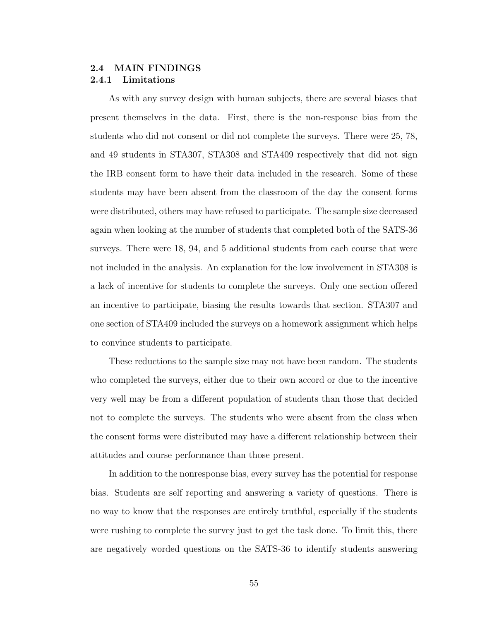## <span id="page-68-0"></span>2.4 MAIN FINDINGS 2.4.1 Limitations

As with any survey design with human subjects, there are several biases that present themselves in the data. First, there is the non-response bias from the students who did not consent or did not complete the surveys. There were 25, 78, and 49 students in STA307, STA308 and STA409 respectively that did not sign the IRB consent form to have their data included in the research. Some of these students may have been absent from the classroom of the day the consent forms were distributed, others may have refused to participate. The sample size decreased again when looking at the number of students that completed both of the SATS-36 surveys. There were 18, 94, and 5 additional students from each course that were not included in the analysis. An explanation for the low involvement in STA308 is a lack of incentive for students to complete the surveys. Only one section offered an incentive to participate, biasing the results towards that section. STA307 and one section of STA409 included the surveys on a homework assignment which helps to convince students to participate.

These reductions to the sample size may not have been random. The students who completed the surveys, either due to their own accord or due to the incentive very well may be from a different population of students than those that decided not to complete the surveys. The students who were absent from the class when the consent forms were distributed may have a different relationship between their attitudes and course performance than those present.

In addition to the nonresponse bias, every survey has the potential for response bias. Students are self reporting and answering a variety of questions. There is no way to know that the responses are entirely truthful, especially if the students were rushing to complete the survey just to get the task done. To limit this, there are negatively worded questions on the SATS-36 to identify students answering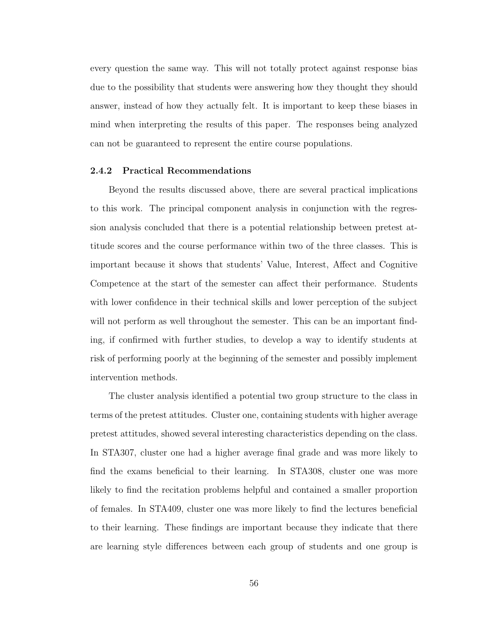every question the same way. This will not totally protect against response bias due to the possibility that students were answering how they thought they should answer, instead of how they actually felt. It is important to keep these biases in mind when interpreting the results of this paper. The responses being analyzed can not be guaranteed to represent the entire course populations.

#### 2.4.2 Practical Recommendations

Beyond the results discussed above, there are several practical implications to this work. The principal component analysis in conjunction with the regression analysis concluded that there is a potential relationship between pretest attitude scores and the course performance within two of the three classes. This is important because it shows that students' Value, Interest, Affect and Cognitive Competence at the start of the semester can affect their performance. Students with lower confidence in their technical skills and lower perception of the subject will not perform as well throughout the semester. This can be an important finding, if confirmed with further studies, to develop a way to identify students at risk of performing poorly at the beginning of the semester and possibly implement intervention methods.

The cluster analysis identified a potential two group structure to the class in terms of the pretest attitudes. Cluster one, containing students with higher average pretest attitudes, showed several interesting characteristics depending on the class. In STA307, cluster one had a higher average final grade and was more likely to find the exams beneficial to their learning. In STA308, cluster one was more likely to find the recitation problems helpful and contained a smaller proportion of females. In STA409, cluster one was more likely to find the lectures beneficial to their learning. These findings are important because they indicate that there are learning style differences between each group of students and one group is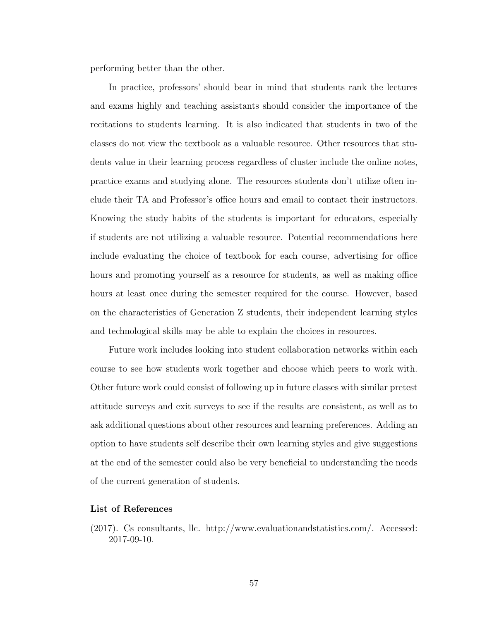performing better than the other.

In practice, professors' should bear in mind that students rank the lectures and exams highly and teaching assistants should consider the importance of the recitations to students learning. It is also indicated that students in two of the classes do not view the textbook as a valuable resource. Other resources that students value in their learning process regardless of cluster include the online notes, practice exams and studying alone. The resources students don't utilize often include their TA and Professor's office hours and email to contact their instructors. Knowing the study habits of the students is important for educators, especially if students are not utilizing a valuable resource. Potential recommendations here include evaluating the choice of textbook for each course, advertising for office hours and promoting yourself as a resource for students, as well as making office hours at least once during the semester required for the course. However, based on the characteristics of Generation Z students, their independent learning styles and technological skills may be able to explain the choices in resources.

Future work includes looking into student collaboration networks within each course to see how students work together and choose which peers to work with. Other future work could consist of following up in future classes with similar pretest attitude surveys and exit surveys to see if the results are consistent, as well as to ask additional questions about other resources and learning preferences. Adding an option to have students self describe their own learning styles and give suggestions at the end of the semester could also be very beneficial to understanding the needs of the current generation of students.

#### List of References

<span id="page-70-0"></span>(2017). Cs consultants, llc. [http://www.evaluationandstatistics.com/.](http://www.evaluationandstatistics.com/) Accessed: 2017-09-10.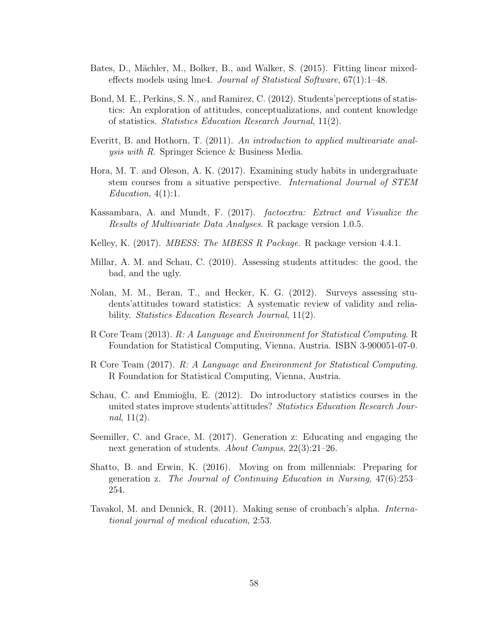- <span id="page-71-12"></span>Bates, D., Mächler, M., Bolker, B., and Walker, S. (2015). Fitting linear mixedeffects models using lme4. *Journal of Statistical Software*,  $67(1)$ :1–48.
- <span id="page-71-4"></span>Bond, M. E., Perkins, S. N., and Ramirez, C. (2012). Students'perceptions of statistics: An exploration of attitudes, conceptualizations, and content knowledge of statistics. Statistics Education Research Journal, 11(2).
- <span id="page-71-7"></span>Everitt, B. and Hothorn, T. (2011). An introduction to applied multivariate analysis with R. Springer Science & Business Media.
- <span id="page-71-2"></span>Hora, M. T. and Oleson, A. K. (2017). Examining study habits in undergraduate stem courses from a situative perspective. International Journal of STEM  $Education, 4(1):1.$
- <span id="page-71-13"></span>Kassambara, A. and Mundt, F. (2017). factoextra: Extract and Visualize the Results of Multivariate Data Analyses. R package version 1.0.5.
- <span id="page-71-10"></span>Kelley, K. (2017). *MBESS: The MBESS R Package*. R package version 4.4.1.
- <span id="page-71-6"></span>Millar, A. M. and Schau, C. (2010). Assessing students attitudes: the good, the bad, and the ugly.
- <span id="page-71-3"></span>Nolan, M. M., Beran, T., and Hecker, K. G. (2012). Surveys assessing students'attitudes toward statistics: A systematic review of validity and reliability. *Statistics Education Research Journal*, 11(2).
- <span id="page-71-11"></span>R Core Team (2013). R: A Language and Environment for Statistical Computing. R Foundation for Statistical Computing, Vienna, Austria. ISBN 3-900051-07-0.
- <span id="page-71-9"></span>R Core Team (2017). R: A Language and Environment for Statistical Computing. R Foundation for Statistical Computing, Vienna, Austria.
- <span id="page-71-5"></span>Schau, C. and Emmioğlu, E. (2012). Do introductory statistics courses in the united states improve students' attitudes? Statistics Education Research Journal,  $11(2)$ .
- <span id="page-71-0"></span>Seemiller, C. and Grace, M. (2017). Generation z: Educating and engaging the next generation of students. About Campus, 22(3):21–26.
- <span id="page-71-1"></span>Shatto, B. and Erwin, K. (2016). Moving on from millennials: Preparing for generation z. The Journal of Continuing Education in Nursing, 47(6):253– 254.
- <span id="page-71-8"></span>Tavakol, M. and Dennick, R. (2011). Making sense of cronbach's alpha. International journal of medical education, 2:53.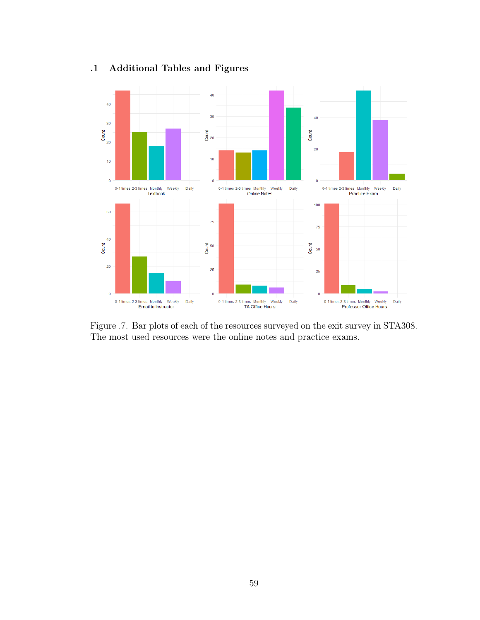

## .1 Additional Tables and Figures

Figure .7. Bar plots of each of the resources surveyed on the exit survey in STA308. The most used resources were the online notes and practice exams.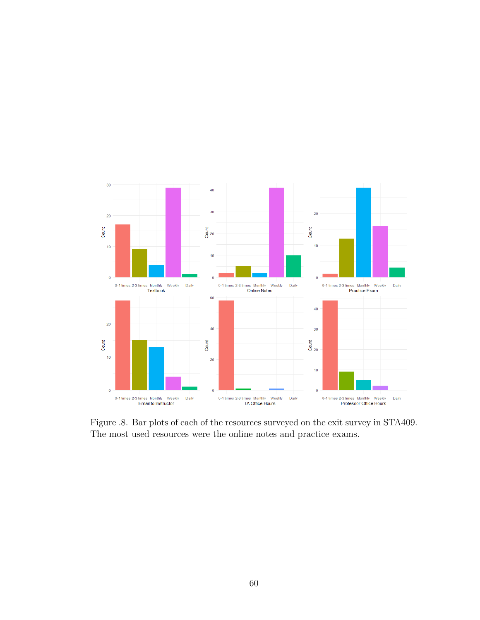

Figure .8. Bar plots of each of the resources surveyed on the exit survey in STA409. The most used resources were the online notes and practice exams.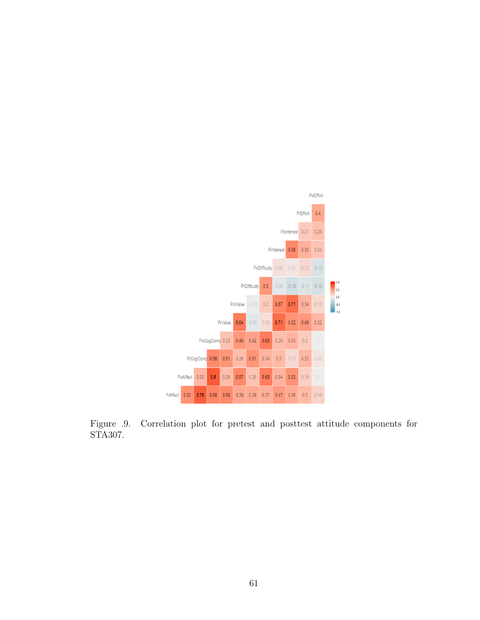

Figure .9. Correlation plot for pretest and posttest attitude components for STA307.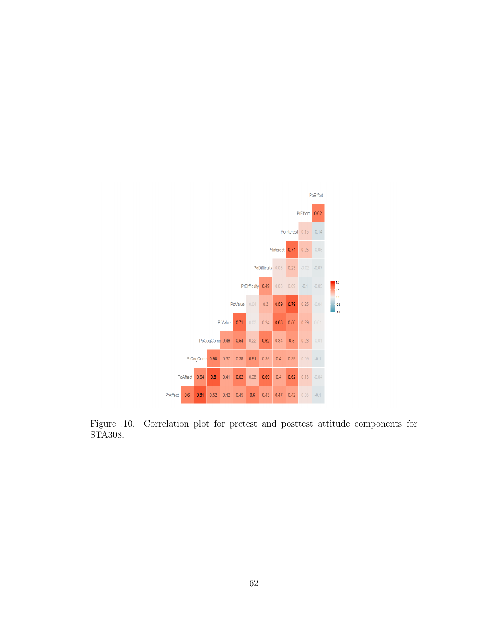

Figure .10. Correlation plot for pretest and posttest attitude components for STA308.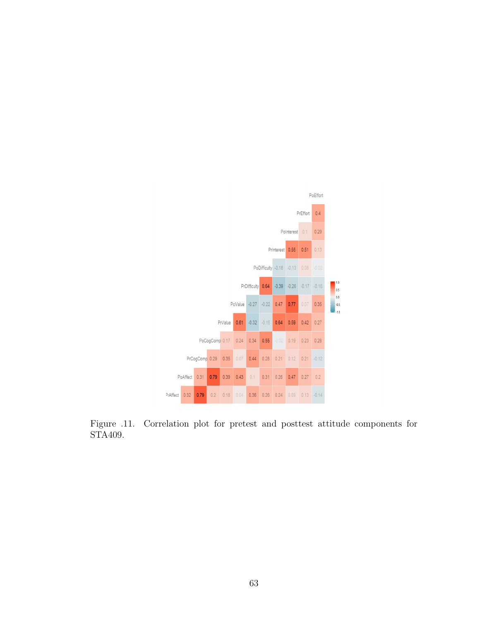

Figure .11. Correlation plot for pretest and posttest attitude components for STA409.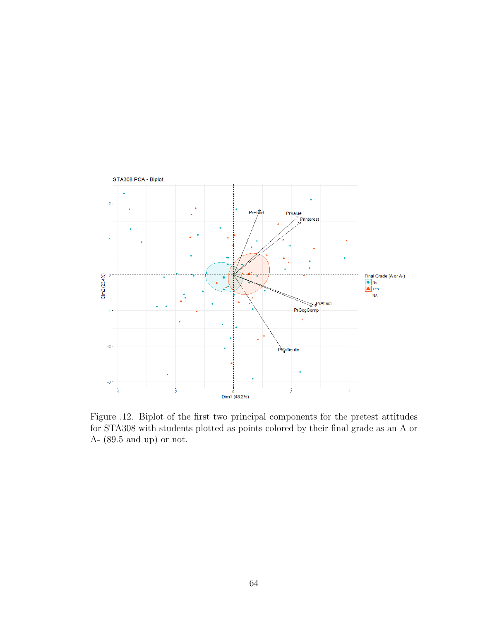

Figure .12. Biplot of the first two principal components for the pretest attitudes for STA308 with students plotted as points colored by their final grade as an A or A- (89.5 and up) or not.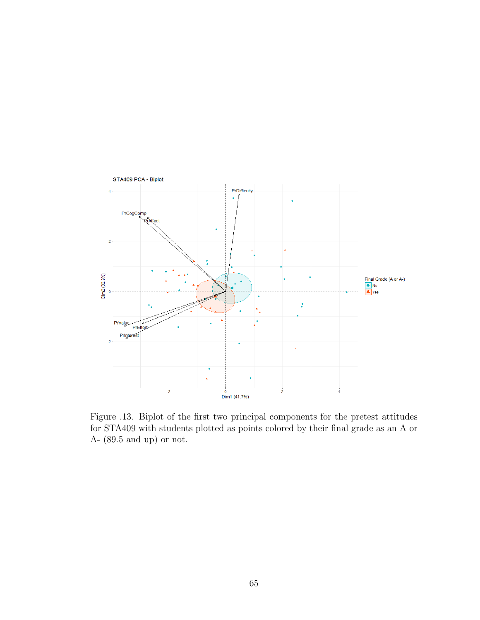

Figure .13. Biplot of the first two principal components for the pretest attitudes for STA409 with students plotted as points colored by their final grade as an A or A- (89.5 and up) or not.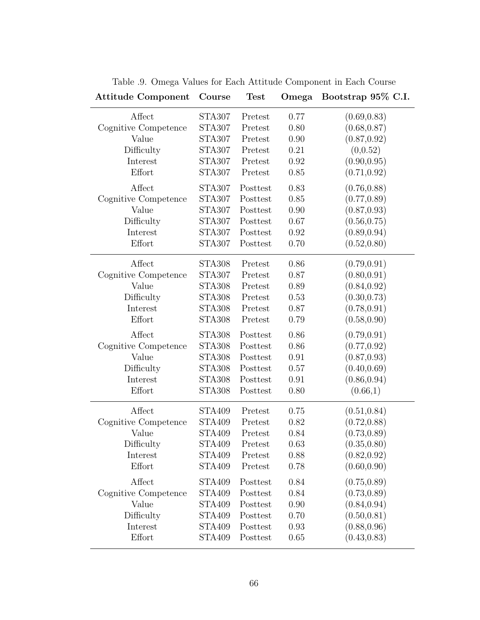| <b>Attitude Component</b> | Course        | <b>Test</b> | Omega | Bootstrap 95\% C.I. |
|---------------------------|---------------|-------------|-------|---------------------|
| Affect                    | <b>STA307</b> | Pretest     | 0.77  | (0.69, 0.83)        |
| Cognitive Competence      | <b>STA307</b> | Pretest     | 0.80  | (0.68, 0.87)        |
| Value                     | <b>STA307</b> | Pretest     | 0.90  | (0.87, 0.92)        |
| Difficulty                | <b>STA307</b> | Pretest     | 0.21  | (0, 0.52)           |
| Interest                  | <b>STA307</b> | Pretest     | 0.92  | (0.90, 0.95)        |
| Effort                    | <b>STA307</b> | Pretest     | 0.85  | (0.71, 0.92)        |
| Affect                    | <b>STA307</b> | Posttest    | 0.83  | (0.76, 0.88)        |
| Cognitive Competence      | <b>STA307</b> | Posttest    | 0.85  | (0.77, 0.89)        |
| Value                     | <b>STA307</b> | Posttest    | 0.90  | (0.87, 0.93)        |
| Difficulty                | <b>STA307</b> | Posttest    | 0.67  | (0.56, 0.75)        |
| Interest                  | <b>STA307</b> | Posttest    | 0.92  | (0.89, 0.94)        |
| Effort                    | <b>STA307</b> | Posttest    | 0.70  | (0.52, 0.80)        |
| Affect                    | <b>STA308</b> | Pretest     | 0.86  | (0.79, 0.91)        |
| Cognitive Competence      | <b>STA307</b> | Pretest     | 0.87  | (0.80, 0.91)        |
| Value                     | <b>STA308</b> | Pretest     | 0.89  | (0.84, 0.92)        |
| Difficulty                | <b>STA308</b> | Pretest     | 0.53  | (0.30, 0.73)        |
| Interest                  | <b>STA308</b> | Pretest     | 0.87  | (0.78, 0.91)        |
| Effort                    | <b>STA308</b> | Pretest     | 0.79  | (0.58, 0.90)        |
| Affect                    | <b>STA308</b> | Posttest    | 0.86  | (0.79, 0.91)        |
| Cognitive Competence      | <b>STA308</b> | Posttest    | 0.86  | (0.77, 0.92)        |
| Value                     | <b>STA308</b> | Posttest    | 0.91  | (0.87, 0.93)        |
| Difficulty                | <b>STA308</b> | Posttest    | 0.57  | (0.40, 0.69)        |
| Interest                  | <b>STA308</b> | Posttest    | 0.91  | (0.86, 0.94)        |
| Effort                    | <b>STA308</b> | Posttest    | 0.80  | (0.66,1)            |
| Affect                    | <b>STA409</b> | Pretest     | 0.75  | (0.51, 0.84)        |
| Cognitive Competence      | <b>STA409</b> | Pretest     | 0.82  | (0.72, 0.88)        |
| Value                     | <b>STA409</b> | Pretest     | 0.84  | (0.73, 0.89)        |
| Difficulty                | <b>STA409</b> | Pretest     | 0.63  | (0.35, 0.80)        |
| Interest                  | <b>STA409</b> | Pretest     | 0.88  | (0.82, 0.92)        |
| Effort                    | <b>STA409</b> | Pretest     | 0.78  | (0.60, 0.90)        |
| Affect                    | <b>STA409</b> | Posttest    | 0.84  | (0.75, 0.89)        |
| Cognitive Competence      | <b>STA409</b> | Posttest    | 0.84  | (0.73, 0.89)        |
| Value                     | <b>STA409</b> | Posttest    | 0.90  | (0.84, 0.94)        |
| Difficulty                | <b>STA409</b> | Posttest    | 0.70  | (0.50, 0.81)        |
| Interest                  | <b>STA409</b> | Posttest    | 0.93  | (0.88, 0.96)        |
| Effort                    | <b>STA409</b> | Posttest    | 0.65  | (0.43, 0.83)        |

Table .9. Omega Values for Each Attitude Component in Each Course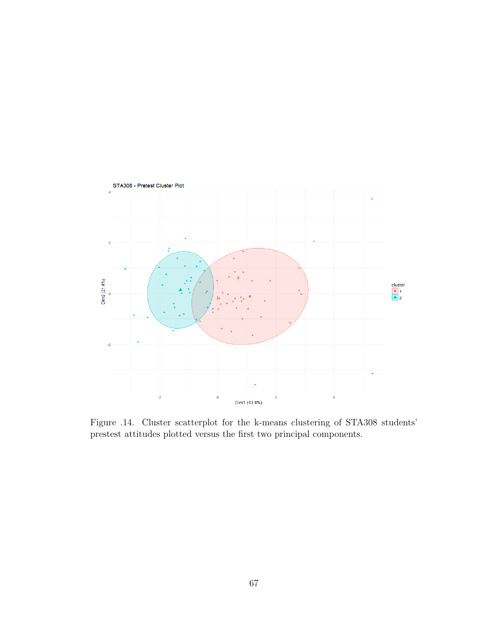

Figure .14. Cluster scatterplot for the k-means clustering of STA308 students' prestest attitudes plotted versus the first two principal components.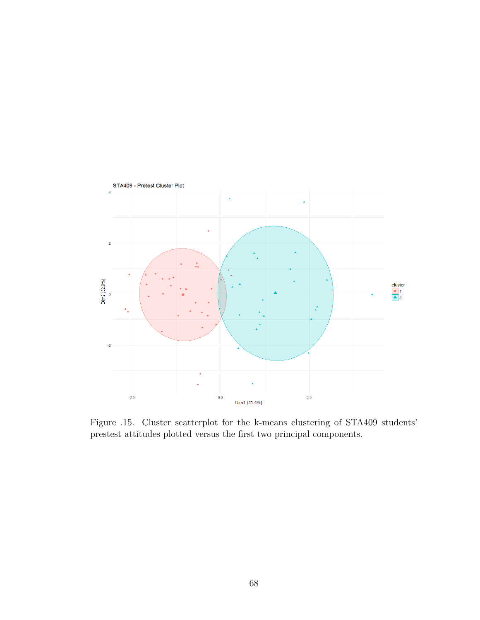

Figure .15. Cluster scatterplot for the k-means clustering of STA409 students' prestest attitudes plotted versus the first two principal components.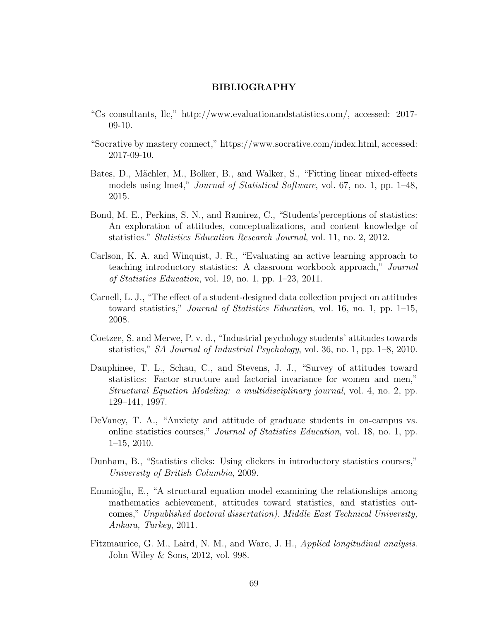## BIBLIOGRAPHY

- "Cs consultants, llc," [http://www.evaluationandstatistics.com/,](http://www.evaluationandstatistics.com/) accessed: 2017- 09-10.
- "Socrative by mastery connect," [https://www.socrative.com/index.html,](https://www.socrative.com/index.html) accessed: 2017-09-10.
- Bates, D., Mächler, M., Bolker, B., and Walker, S., "Fitting linear mixed-effects models using lme4," *Journal of Statistical Software*, vol. 67, no. 1, pp. 1–48, 2015.
- Bond, M. E., Perkins, S. N., and Ramirez, C., "Students'perceptions of statistics: An exploration of attitudes, conceptualizations, and content knowledge of statistics." Statistics Education Research Journal, vol. 11, no. 2, 2012.
- Carlson, K. A. and Winquist, J. R., "Evaluating an active learning approach to teaching introductory statistics: A classroom workbook approach," Journal of Statistics Education, vol. 19, no. 1, pp. 1–23, 2011.
- Carnell, L. J., "The effect of a student-designed data collection project on attitudes toward statistics," Journal of Statistics Education, vol. 16, no. 1, pp. 1–15, 2008.
- Coetzee, S. and Merwe, P. v. d., "Industrial psychology students' attitudes towards statistics," SA Journal of Industrial Psychology, vol. 36, no. 1, pp. 1–8, 2010.
- Dauphinee, T. L., Schau, C., and Stevens, J. J., "Survey of attitudes toward statistics: Factor structure and factorial invariance for women and men," Structural Equation Modeling: a multidisciplinary journal, vol. 4, no. 2, pp. 129–141, 1997.
- DeVaney, T. A., "Anxiety and attitude of graduate students in on-campus vs. online statistics courses," Journal of Statistics Education, vol. 18, no. 1, pp. 1–15, 2010.
- Dunham, B., "Statistics clicks: Using clickers in introductory statistics courses," University of British Columbia, 2009.
- Emmioğlu, E., "A structural equation model examining the relationships among mathematics achievement, attitudes toward statistics, and statistics outcomes," Unpublished doctoral dissertation). Middle East Technical University, Ankara, Turkey, 2011.
- Fitzmaurice, G. M., Laird, N. M., and Ware, J. H., Applied longitudinal analysis. John Wiley & Sons, 2012, vol. 998.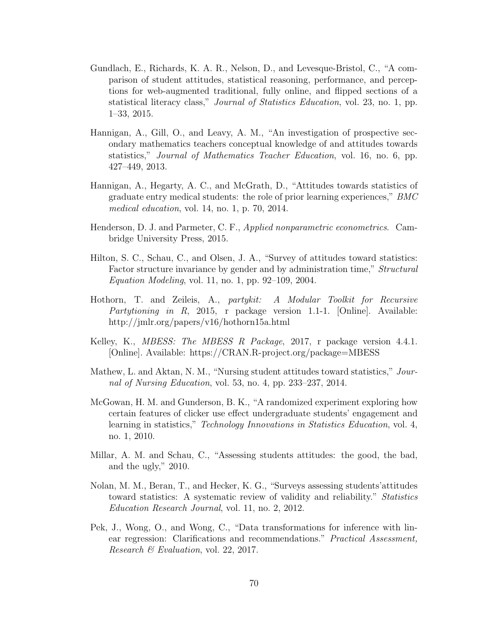- Gundlach, E., Richards, K. A. R., Nelson, D., and Levesque-Bristol, C., "A comparison of student attitudes, statistical reasoning, performance, and perceptions for web-augmented traditional, fully online, and flipped sections of a statistical literacy class," *Journal of Statistics Education*, vol. 23, no. 1, pp. 1–33, 2015.
- Hannigan, A., Gill, O., and Leavy, A. M., "An investigation of prospective secondary mathematics teachers conceptual knowledge of and attitudes towards statistics," Journal of Mathematics Teacher Education, vol. 16, no. 6, pp. 427–449, 2013.
- Hannigan, A., Hegarty, A. C., and McGrath, D., "Attitudes towards statistics of graduate entry medical students: the role of prior learning experiences," BMC medical education, vol. 14, no. 1, p. 70, 2014.
- Henderson, D. J. and Parmeter, C. F., Applied nonparametric econometrics. Cambridge University Press, 2015.
- Hilton, S. C., Schau, C., and Olsen, J. A., "Survey of attitudes toward statistics: Factor structure invariance by gender and by administration time," Structural Equation Modeling, vol. 11, no. 1, pp. 92–109, 2004.
- Hothorn, T. and Zeileis, A., partykit: A Modular Toolkit for Recursive *Partytioning in R*, 2015, r package version 1.1-1. [Online]. Available: <http://jmlr.org/papers/v16/hothorn15a.html>
- Kelley, K., *MBESS: The MBESS R Package*, 2017, r package version 4.4.1. [Online]. Available:<https://CRAN.R-project.org/package=MBESS>
- Mathew, L. and Aktan, N. M., "Nursing student attitudes toward statistics," Journal of Nursing Education, vol. 53, no. 4, pp. 233–237, 2014.
- McGowan, H. M. and Gunderson, B. K., "A randomized experiment exploring how certain features of clicker use effect undergraduate students' engagement and learning in statistics," *Technology Innovations in Statistics Education*, vol. 4, no. 1, 2010.
- Millar, A. M. and Schau, C., "Assessing students attitudes: the good, the bad, and the ugly," 2010.
- Nolan, M. M., Beran, T., and Hecker, K. G., "Surveys assessing students'attitudes toward statistics: A systematic review of validity and reliability." *Statistics* Education Research Journal, vol. 11, no. 2, 2012.
- Pek, J., Wong, O., and Wong, C., "Data transformations for inference with linear regression: Clarifications and recommendations." Practical Assessment, Research  $\mathcal B$  Evaluation, vol. 22, 2017.